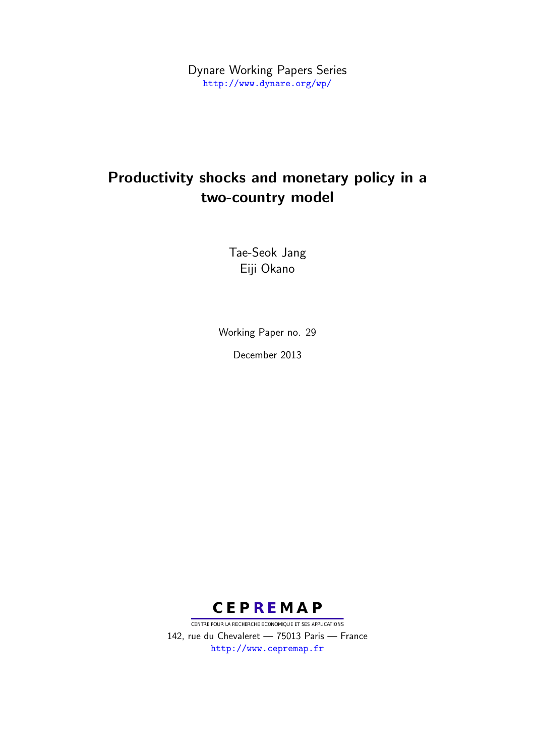Dynare Working Papers Series <http://www.dynare.org/wp/>

# Productivity shocks and monetary policy in a two-country model

Tae-Seok Jang Eiji Okano

Working Paper no. 29 December 2013



CENTRE POUR LA RECHERCHE ECONOMIQUE ET SES APPLICATIONS 142, rue du Chevaleret — 75013 Paris — France <http://www.cepremap.fr>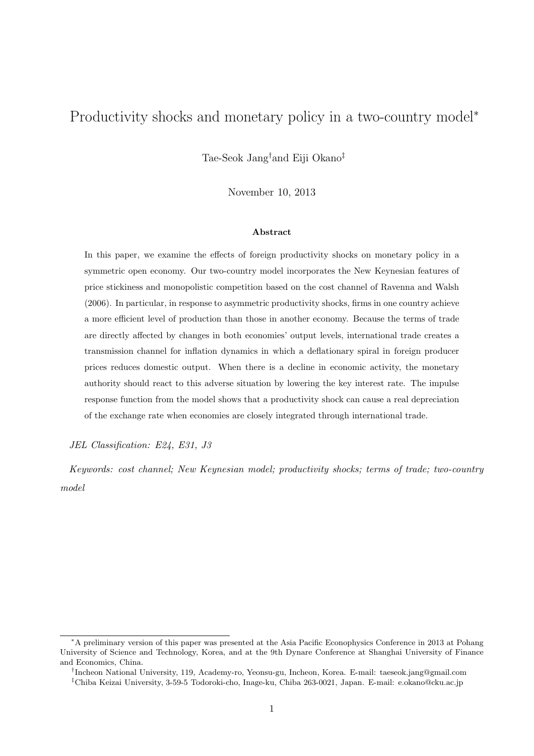# Productivity shocks and monetary policy in a two-country model<sup>\*</sup>

Tae-Seok Jang†and Eiji Okano‡

November 10, 2013

#### Abstract

In this paper, we examine the effects of foreign productivity shocks on monetary policy in a symmetric open economy. Our two-country model incorporates the New Keynesian features of price stickiness and monopolistic competition based on the cost channel of Ravenna and Walsh (2006). In particular, in response to asymmetric productivity shocks, firms in one country achieve a more efficient level of production than those in another economy. Because the terms of trade are directly affected by changes in both economies' output levels, international trade creates a transmission channel for inflation dynamics in which a deflationary spiral in foreign producer prices reduces domestic output. When there is a decline in economic activity, the monetary authority should react to this adverse situation by lowering the key interest rate. The impulse response function from the model shows that a productivity shock can cause a real depreciation of the exchange rate when economies are closely integrated through international trade.

*JEL Classification: E24, E31, J3*

*Keywords: cost channel; New Keynesian model; productivity shocks; terms of trade; two-country model*

<sup>∗</sup>A preliminary version of this paper was presented at the Asia Pacific Econophysics Conference in 2013 at Pohang University of Science and Technology, Korea, and at the 9th Dynare Conference at Shanghai University of Finance and Economics, China.

<sup>†</sup> Incheon National University, 119, Academy-ro, Yeonsu-gu, Incheon, Korea. E-mail: taeseok.jang@gmail.com

<sup>‡</sup>Chiba Keizai University, 3-59-5 Todoroki-cho, Inage-ku, Chiba 263-0021, Japan. E-mail: e.okano@cku.ac.jp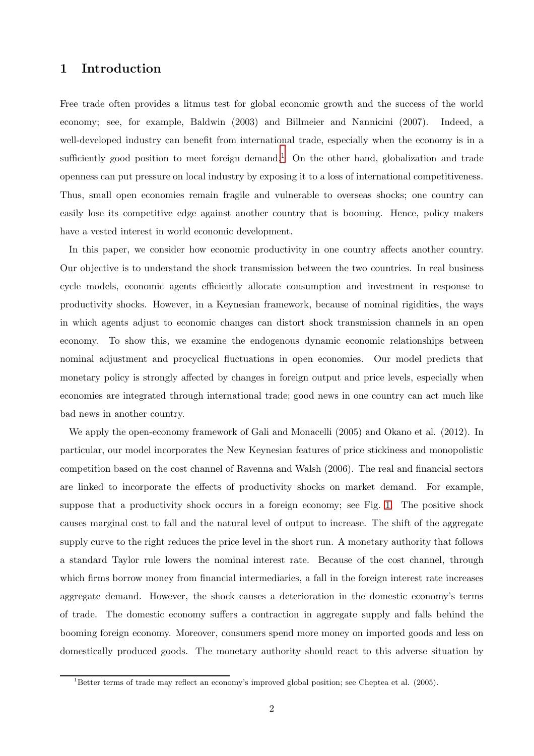## 1 Introduction

Free trade often provides a litmus test for global economic growth and the success of the world economy; see, for example, Baldwin (2003) and Billmeier and Nannicini (2007). Indeed, a well-developed industry can benefit from international trade, especially when the economy is in a sufficiently good position to meet foreign demand.<sup>1</sup> On the other hand, globalization and trade openness can put pressure on local industry by exposing it to a loss of international competitiveness. Thus, small open economies remain fragile and vulnerable to overseas shocks; one country can easily lose its competitive edge against another country that is booming. Hence, policy makers have a vested interest in world economic development.

In this paper, we consider how economic productivity in one country affects another country. Our objective is to understand the shock transmission between the two countries. In real business cycle models, economic agents efficiently allocate consumption and investment in response to productivity shocks. However, in a Keynesian framework, because of nominal rigidities, the ways in which agents adjust to economic changes can distort shock transmission channels in an open economy. To show this, we examine the endogenous dynamic economic relationships between nominal adjustment and procyclical fluctuations in open economies. Our model predicts that monetary policy is strongly affected by changes in foreign output and price levels, especially when economies are integrated through international trade; good news in one country can act much like bad news in another country.

We apply the open-economy framework of Gali and Monacelli (2005) and Okano et al. (2012). In particular, our model incorporates the New Keynesian features of price stickiness and monopolistic competition based on the cost channel of Ravenna and Walsh (2006). The real and financial sectors are linked to incorporate the effects of productivity shocks on market demand. For example, suppose that a productivity shock occurs in a foreign economy; see Fig. [1.](#page-3-0) The positive shock causes marginal cost to fall and the natural level of output to increase. The shift of the aggregate supply curve to the right reduces the price level in the short run. A monetary authority that follows a standard Taylor rule lowers the nominal interest rate. Because of the cost channel, through which firms borrow money from financial intermediaries, a fall in the foreign interest rate increases aggregate demand. However, the shock causes a deterioration in the domestic economy's terms of trade. The domestic economy suffers a contraction in aggregate supply and falls behind the booming foreign economy. Moreover, consumers spend more money on imported goods and less on domestically produced goods. The monetary authority should react to this adverse situation by

<sup>1</sup>Better terms of trade may reflect an economy's improved global position; see Cheptea et al. (2005).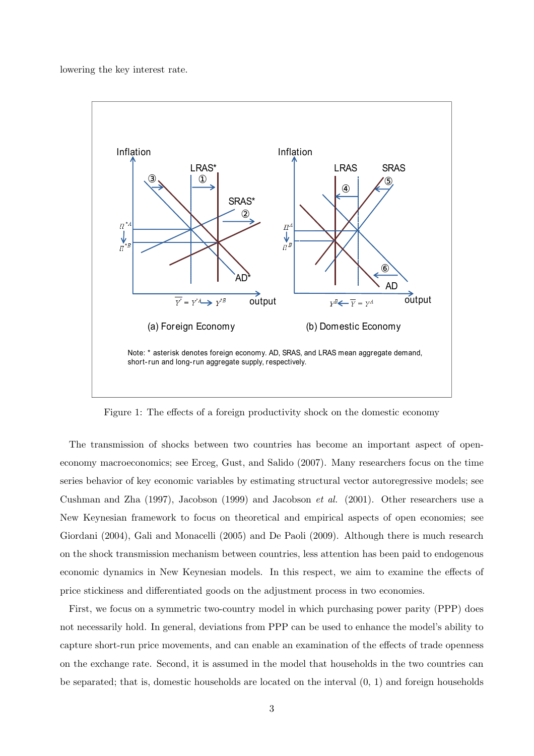lowering the key interest rate.

<span id="page-3-0"></span>

Figure 1: The effects of a foreign productivity shock on the domestic economy

The transmission of shocks between two countries has become an important aspect of openeconomy macroeconomics; see Erceg, Gust, and Salido (2007). Many researchers focus on the time series behavior of key economic variables by estimating structural vector autoregressive models; see Cushman and Zha (1997), Jacobson (1999) and Jacobson *et al.* (2001). Other researchers use a New Keynesian framework to focus on theoretical and empirical aspects of open economies; see Giordani (2004), Gali and Monacelli (2005) and De Paoli (2009). Although there is much research on the shock transmission mechanism between countries, less attention has been paid to endogenous economic dynamics in New Keynesian models. In this respect, we aim to examine the effects of price stickiness and differentiated goods on the adjustment process in two economies.

First, we focus on a symmetric two-country model in which purchasing power parity (PPP) does not necessarily hold. In general, deviations from PPP can be used to enhance the model's ability to capture short-run price movements, and can enable an examination of the effects of trade openness on the exchange rate. Second, it is assumed in the model that households in the two countries can be separated; that is, domestic households are located on the interval (0, 1) and foreign households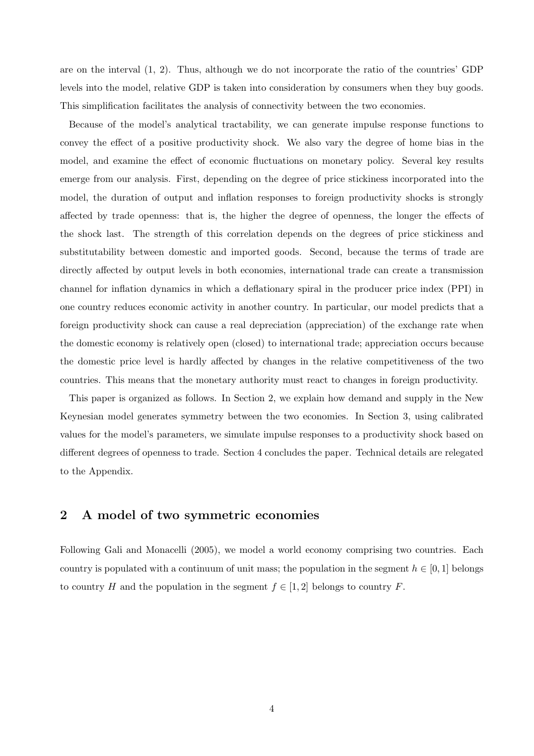are on the interval (1, 2). Thus, although we do not incorporate the ratio of the countries' GDP levels into the model, relative GDP is taken into consideration by consumers when they buy goods. This simplification facilitates the analysis of connectivity between the two economies.

Because of the model's analytical tractability, we can generate impulse response functions to convey the effect of a positive productivity shock. We also vary the degree of home bias in the model, and examine the effect of economic fluctuations on monetary policy. Several key results emerge from our analysis. First, depending on the degree of price stickiness incorporated into the model, the duration of output and inflation responses to foreign productivity shocks is strongly affected by trade openness: that is, the higher the degree of openness, the longer the effects of the shock last. The strength of this correlation depends on the degrees of price stickiness and substitutability between domestic and imported goods. Second, because the terms of trade are directly affected by output levels in both economies, international trade can create a transmission channel for inflation dynamics in which a deflationary spiral in the producer price index (PPI) in one country reduces economic activity in another country. In particular, our model predicts that a foreign productivity shock can cause a real depreciation (appreciation) of the exchange rate when the domestic economy is relatively open (closed) to international trade; appreciation occurs because the domestic price level is hardly affected by changes in the relative competitiveness of the two countries. This means that the monetary authority must react to changes in foreign productivity.

This paper is organized as follows. In Section 2, we explain how demand and supply in the New Keynesian model generates symmetry between the two economies. In Section 3, using calibrated values for the model's parameters, we simulate impulse responses to a productivity shock based on different degrees of openness to trade. Section 4 concludes the paper. Technical details are relegated to the Appendix.

### 2 A model of two symmetric economies

Following Gali and Monacelli (2005), we model a world economy comprising two countries. Each country is populated with a continuum of unit mass; the population in the segment  $h \in [0,1]$  belongs to country H and the population in the segment  $f \in [1,2]$  belongs to country F.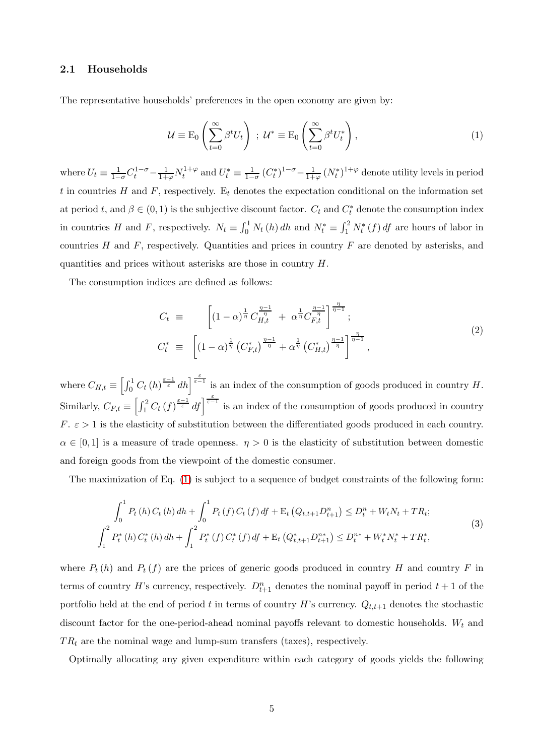#### 2.1 Households

The representative households' preferences in the open economy are given by:

<span id="page-5-0"></span>
$$
\mathcal{U} \equiv \mathcal{E}_0 \left( \sum_{t=0}^{\infty} \beta^t U_t \right) ; \; \mathcal{U}^* \equiv \mathcal{E}_0 \left( \sum_{t=0}^{\infty} \beta^t U_t^* \right), \tag{1}
$$

where  $U_t \equiv \frac{1}{1-\sigma} C_t^{1-\sigma} - \frac{1}{1+\varphi} N_t^{1+\varphi}$  $U_t^* \equiv \frac{1}{1-\sigma} (C_t^*)^{1-\sigma} - \frac{1}{1+\varphi} (N_t^*)^{1+\varphi}$  denote utility levels in period t in countries H and F, respectively.  $E_t$  denotes the expectation conditional on the information set at period t, and  $\beta \in (0, 1)$  is the subjective discount factor.  $C_t$  and  $C_t^*$  denote the consumption index in countries H and F, respectively.  $N_t \equiv \int_0^1 N_t(h) dh$  and  $N_t^* \equiv \int_1^2 N_t^*(f) df$  are hours of labor in countries  $H$  and  $F$ , respectively. Quantities and prices in country  $F$  are denoted by asterisks, and quantities and prices without asterisks are those in country H.

The consumption indices are defined as follows:

$$
C_t \equiv \left[ (1 - \alpha)^{\frac{1}{\eta}} C_{H,t}^{\frac{\eta - 1}{\eta}} + \alpha^{\frac{1}{\eta}} C_{F,t}^{\frac{\eta - 1}{\eta}} \right]^{\frac{\eta}{\eta - 1}}; C_t^* \equiv \left[ (1 - \alpha)^{\frac{1}{\eta}} \left( C_{F,t}^* \right)^{\frac{\eta - 1}{\eta}} + \alpha^{\frac{1}{\eta}} \left( C_{H,t}^* \right)^{\frac{\eta - 1}{\eta}} \right]^{\frac{\eta}{\eta - 1}},
$$
(2)

where  $C_{H,t} \equiv \left[\int_0^1 C_t(h)^{\frac{\varepsilon-1}{\varepsilon}} dh \right]^{\frac{\varepsilon}{\varepsilon-1}}$  is an index of the consumption of goods produced in country H. Similarly,  $C_{F,t} \equiv \left[\int_1^2 C_t (f)^{\frac{\varepsilon-1}{\varepsilon}} df\right]^{\frac{\varepsilon}{\varepsilon-1}}$  is an index of the consumption of goods produced in country  $F. \varepsilon > 1$  is the elasticity of substitution between the differentiated goods produced in each country.  $\alpha \in [0,1]$  is a measure of trade openness.  $\eta > 0$  is the elasticity of substitution between domestic and foreign goods from the viewpoint of the domestic consumer.

The maximization of Eq. [\(1\)](#page-5-0) is subject to a sequence of budget constraints of the following form:

<span id="page-5-1"></span>
$$
\int_{0}^{1} P_{t} \left( h \right) C_{t} \left( h \right) dh + \int_{0}^{1} P_{t} \left( f \right) C_{t} \left( f \right) df + \mathcal{E}_{t} \left( Q_{t,t+1} D_{t+1}^{n} \right) \leq D_{t}^{n} + W_{t} N_{t} + T R_{t};
$$
\n
$$
\int_{1}^{2} P_{t}^{*} \left( h \right) C_{t}^{*} \left( h \right) dh + \int_{1}^{2} P_{t}^{*} \left( f \right) C_{t}^{*} \left( f \right) df + \mathcal{E}_{t} \left( Q_{t,t+1}^{*} D_{t+1}^{n*} \right) \leq D_{t}^{n*} + W_{t}^{*} N_{t}^{*} + T R_{t}^{*},
$$
\n(3)

where  $P_t(h)$  and  $P_t(f)$  are the prices of generic goods produced in country H and country F in terms of country H's currency, respectively.  $D_{t+1}^n$  denotes the nominal payoff in period  $t + 1$  of the portfolio held at the end of period t in terms of country H's currency.  $Q_{t,t+1}$  denotes the stochastic discount factor for the one-period-ahead nominal payoffs relevant to domestic households.  $W_t$  and  $TR<sub>t</sub>$  are the nominal wage and lump-sum transfers (taxes), respectively.

Optimally allocating any given expenditure within each category of goods yields the following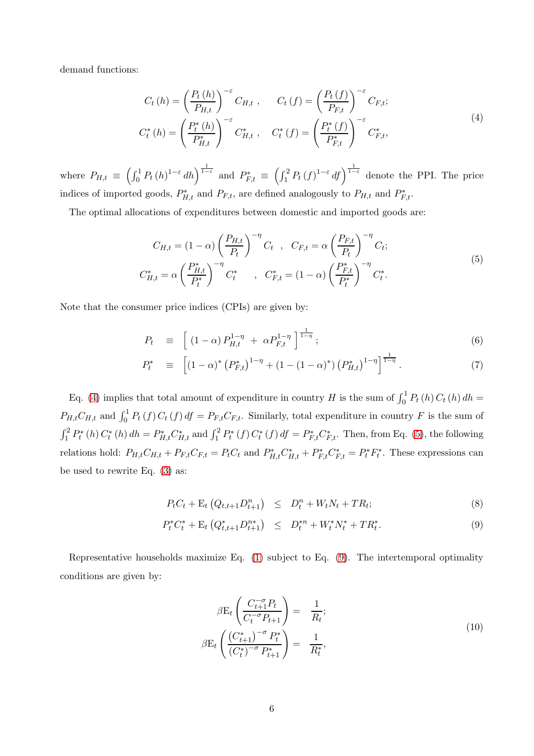demand functions:

<span id="page-6-0"></span>
$$
C_{t}(h) = \left(\frac{P_{t}(h)}{P_{H,t}}\right)^{-\varepsilon} C_{H,t}, \qquad C_{t}(f) = \left(\frac{P_{t}(f)}{P_{F,t}}\right)^{-\varepsilon} C_{F,t};
$$
\n
$$
C_{t}^{*}(h) = \left(\frac{P_{t}^{*}(h)}{P_{H,t}^{*}}\right)^{-\varepsilon} C_{H,t}^{*}, \quad C_{t}^{*}(f) = \left(\frac{P_{t}^{*}(f)}{P_{F,t}^{*}}\right)^{-\varepsilon} C_{F,t}^{*},
$$
\n(4)

where  $P_{H,t} \equiv \left(\int_0^1 P_t(h)^{1-\varepsilon} dh\right)^{\frac{1}{1-\varepsilon}}$  and  $P_{F,t}^* \equiv \left(\int_1^2 P_t(f)^{1-\varepsilon} df\right)^{\frac{1}{1-\varepsilon}}$  denote the PPI. The price indices of imported goods,  $P_{H,t}^*$  and  $P_{F,t}$ , are defined analogously to  $P_{H,t}$  and  $P_{F,t}^*$ .

The optimal allocations of expenditures between domestic and imported goods are:

<span id="page-6-1"></span>
$$
C_{H,t} = (1 - \alpha) \left(\frac{P_{H,t}}{P_t}\right)^{-\eta} C_t , C_{F,t} = \alpha \left(\frac{P_{F,t}}{P_t}\right)^{-\eta} C_t; C_{H,t}^* = \alpha \left(\frac{P_{H,t}^*}{P_t^*}\right)^{-\eta} C_t^* , C_{F,t}^* = (1 - \alpha) \left(\frac{P_{F,t}^*}{P_t^*}\right)^{-\eta} C_t^*.
$$
 (5)

Note that the consumer price indices (CPIs) are given by:

<span id="page-6-4"></span>
$$
P_t \equiv \left[ (1 - \alpha) P_{H,t}^{1 - \eta} + \alpha P_{F,t}^{1 - \eta} \right]^{\frac{1}{1 - \eta}}; \tag{6}
$$

$$
P_t^* \equiv \left[ (1 - \alpha)^* \left( P_{F,t}^* \right)^{1 - \eta} + (1 - (1 - \alpha)^*) \left( P_{H,t}^* \right)^{1 - \eta} \right]^{\frac{1}{1 - \eta}}. \tag{7}
$$

Eq. [\(4\)](#page-6-0) implies that total amount of expenditure in country H is the sum of  $\int_0^1 P_t(h) C_t(h) dh =$  $P_{H,t}C_{H,t}$  and  $\int_0^1 P_t(f) C_t(f) df = P_{F,t}C_{F,t}$ . Similarly, total expenditure in country F is the sum of  $\int_1^2 P_t^*(h) C_t^*(h) dh = P_{H,t}^* C_{H,t}^*$  and  $\int_1^2 P_t^*(f) C_t^*(f) df = P_{F,t}^* C_{F,t}^*$ . Then, from Eq. [\(5\)](#page-6-1), the following relations hold:  $P_{H,t}C_{H,t} + P_{F,t}C_{F,t} = P_tC_t$  and  $P_{H,t}^*C_{H,t}^* + P_{F,t}^*C_{F,t}^* = P_t^*F_t^*$ . These expressions can be used to rewrite Eq. [\(3\)](#page-5-1) as:

<span id="page-6-2"></span>
$$
P_t C_t + \mathcal{E}_t \left( Q_{t,t+1} D_{t+1}^n \right) \leq D_t^n + W_t N_t + T R_t; \tag{8}
$$

$$
P_t^* C_t^* + \mathcal{E}_t \left( Q_{t,t+1}^* D_{t+1}^{n*} \right) \leq D_t^{*n} + W_t^* N_t^* + T R_t^*.
$$
 (9)

Representative households maximize Eq. [\(1\)](#page-5-0) subject to Eq. [\(9\)](#page-6-2). The intertemporal optimality conditions are given by:

<span id="page-6-3"></span>
$$
\beta E_t \left( \frac{C_{t+1}^{-\sigma} P_t}{C_t^{-\sigma} P_{t+1}} \right) = \frac{1}{R_t};
$$
  

$$
\beta E_t \left( \frac{(C_{t+1}^*)^{-\sigma} P_t^*}{(C_t^*)^{-\sigma} P_{t+1}^*} \right) = \frac{1}{R_t^*},
$$
 (10)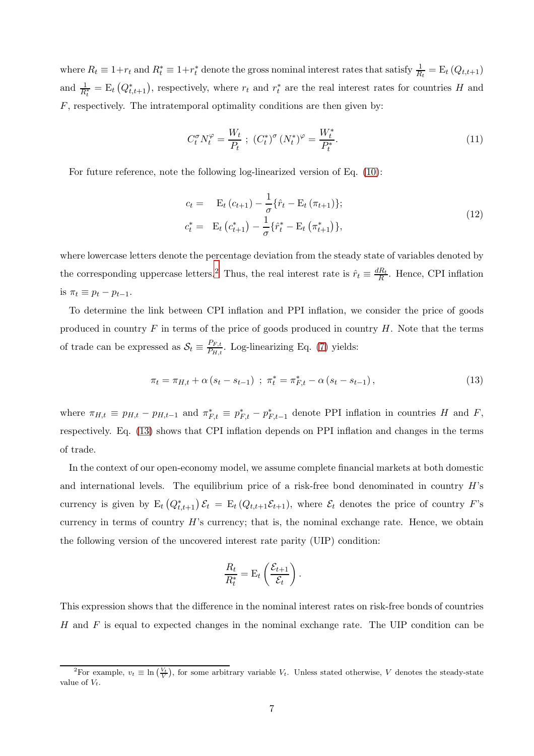where  $R_t \equiv 1 + r_t$  and  $R_t^* \equiv 1 + r_t^*$  denote the gross nominal interest rates that satisfy  $\frac{1}{R_t} = E_t (Q_{t,t+1})$ and  $\frac{1}{R_t^*} = \mathbb{E}_t(Q_{t,t+1}^*)$ , respectively, where  $r_t$  and  $r_t^*$  are the real interest rates for countries H and  $F$ , respectively. The intratemporal optimality conditions are then given by:

<span id="page-7-2"></span>
$$
C_t^{\sigma} N_t^{\varphi} = \frac{W_t}{P_t} \; ; \; (C_t^*)^{\sigma} (N_t^*)^{\varphi} = \frac{W_t^*}{P_t^*}.
$$
 (11)

For future reference, note the following log-linearized version of Eq. [\(10\)](#page-6-3):

<span id="page-7-1"></span>
$$
c_{t} = \mathbf{E}_{t} (c_{t+1}) - \frac{1}{\sigma} \{\hat{r}_{t} - \mathbf{E}_{t} (\pi_{t+1})\};
$$
  
\n
$$
c_{t}^{*} = \mathbf{E}_{t} (c_{t+1}^{*}) - \frac{1}{\sigma} \{\hat{r}_{t}^{*} - \mathbf{E}_{t} (\pi_{t+1}^{*})\},
$$
\n(12)

where lowercase letters denote the percentage deviation from the steady state of variables denoted by the corresponding uppercase letters.<sup>2</sup> Thus, the real interest rate is  $\hat{r}_t \equiv \frac{dR_t}{R}$ . Hence, CPI inflation is  $\pi_t \equiv p_t - p_{t-1}$ .

To determine the link between CPI inflation and PPI inflation, we consider the price of goods produced in country  $F$  in terms of the price of goods produced in country  $H$ . Note that the terms of trade can be expressed as  $S_t \equiv \frac{P_{F,t}}{P_{H,t}}$  $\frac{P_{F,t}}{P_{H,t}}$ . Log-linearizing Eq. [\(7\)](#page-6-4) yields:

<span id="page-7-0"></span>
$$
\pi_t = \pi_{H,t} + \alpha \left( s_t - s_{t-1} \right) \; ; \; \pi_t^* = \pi_{F,t}^* - \alpha \left( s_t - s_{t-1} \right), \tag{13}
$$

where  $\pi_{H,t} \equiv p_{H,t} - p_{H,t-1}$  and  $\pi_{F,t}^* \equiv p_{F,t}^* - p_{F,t-1}^*$  denote PPI inflation in countries H and F, respectively. Eq. [\(13\)](#page-7-0) shows that CPI inflation depends on PPI inflation and changes in the terms of trade.

In the context of our open-economy model, we assume complete financial markets at both domestic and international levels. The equilibrium price of a risk-free bond denominated in country  $H$ 's currency is given by  $E_t(Q_{t,t+1}^*)\mathcal{E}_t = E_t(Q_{t,t+1}\mathcal{E}_{t+1}),$  where  $\mathcal{E}_t$  denotes the price of country F's currency in terms of country  $H$ 's currency; that is, the nominal exchange rate. Hence, we obtain the following version of the uncovered interest rate parity (UIP) condition:

$$
\frac{R_t}{R_t^*} = \mathrm{E}_t \left( \frac{\mathcal{E}_{t+1}}{\mathcal{E}_t} \right).
$$

This expression shows that the difference in the nominal interest rates on risk-free bonds of countries  $H$  and  $F$  is equal to expected changes in the nominal exchange rate. The UIP condition can be

<sup>&</sup>lt;sup>2</sup>For example,  $v_t \equiv \ln\left(\frac{V_t}{V}\right)$ , for some arbitrary variable  $V_t$ . Unless stated otherwise, V denotes the steady-state value of  $V_t$ .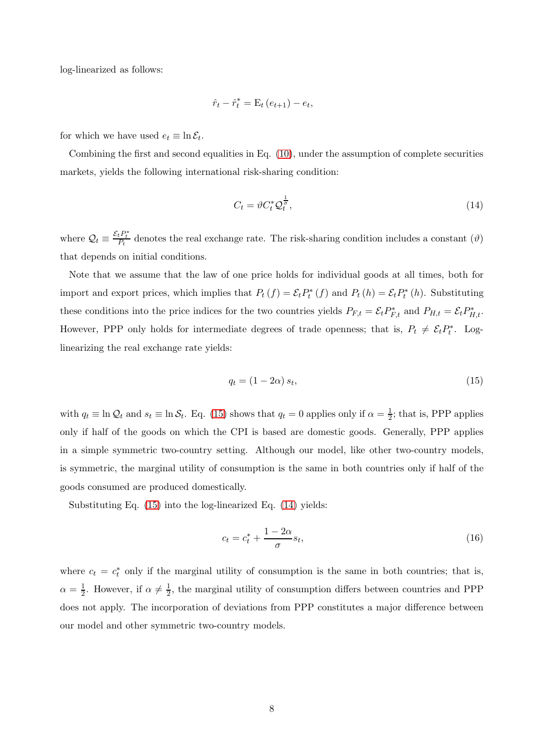log-linearized as follows:

$$
\hat{r}_t - \hat{r}_t^* = \mathbf{E}_t (e_{t+1}) - e_t,
$$

for which we have used  $e_t \equiv \ln \mathcal{E}_t$ .

Combining the first and second equalities in Eq.  $(10)$ , under the assumption of complete securities markets, yields the following international risk-sharing condition:

<span id="page-8-1"></span>
$$
C_t = \vartheta C_t^* \mathcal{Q}_t^{\frac{1}{\sigma}},\tag{14}
$$

where  $Q_t \equiv \frac{\mathcal{E}_t P_t^*}{P_t}$  denotes the real exchange rate. The risk-sharing condition includes a constant  $(\vartheta)$ that depends on initial conditions.

Note that we assume that the law of one price holds for individual goods at all times, both for import and export prices, which implies that  $P_t(f) = \mathcal{E}_t P_t^*(f)$  and  $P_t(h) = \mathcal{E}_t P_t^*(h)$ . Substituting these conditions into the price indices for the two countries yields  $P_{F,t} = \mathcal{E}_t P_{F,t}^*$  and  $P_{H,t} = \mathcal{E}_t P_{H,t}^*$ . However, PPP only holds for intermediate degrees of trade openness; that is,  $P_t \neq \mathcal{E}_t P_t^*$ . Loglinearizing the real exchange rate yields:

<span id="page-8-0"></span>
$$
q_t = (1 - 2\alpha) s_t,\tag{15}
$$

with  $q_t \equiv \ln \mathcal{Q}_t$  and  $s_t \equiv \ln \mathcal{S}_t$ . Eq. [\(15\)](#page-8-0) shows that  $q_t = 0$  applies only if  $\alpha = \frac{1}{2}$  $\frac{1}{2}$ ; that is, PPP applies only if half of the goods on which the CPI is based are domestic goods. Generally, PPP applies in a simple symmetric two-country setting. Although our model, like other two-country models, is symmetric, the marginal utility of consumption is the same in both countries only if half of the goods consumed are produced domestically.

Substituting Eq. [\(15\)](#page-8-0) into the log-linearized Eq. [\(14\)](#page-8-1) yields:

<span id="page-8-2"></span>
$$
c_t = c_t^* + \frac{1 - 2\alpha}{\sigma} s_t,\tag{16}
$$

where  $c_t = c_t^*$  only if the marginal utility of consumption is the same in both countries; that is,  $\alpha = \frac{1}{2}$ . However, if  $\alpha \neq \frac{1}{2}$ , the marginal utility of consumption differs between countries and PPP does not apply. The incorporation of deviations from PPP constitutes a major difference between our model and other symmetric two-country models.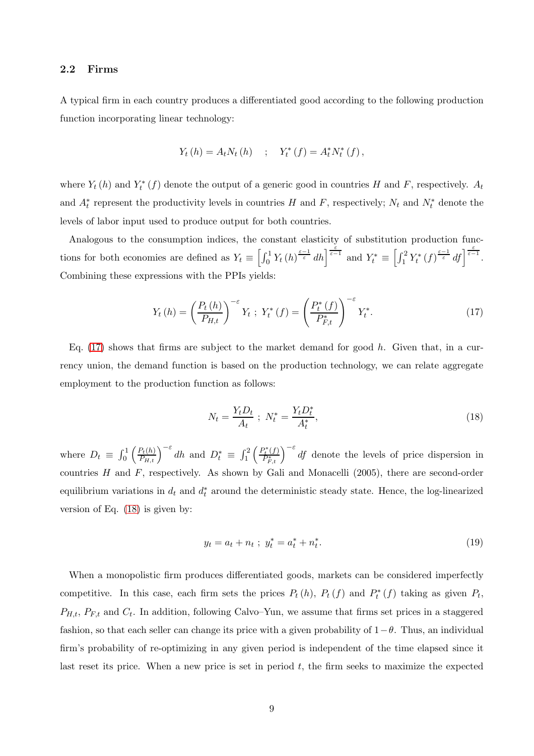#### 2.2 Firms

A typical firm in each country produces a differentiated good according to the following production function incorporating linear technology:

$$
Y_t(h) = A_t N_t(h)
$$
 ;  $Y_t^*(f) = A_t^* N_t^*(f)$ ,

where  $Y_t(h)$  and  $Y_t^*(f)$  denote the output of a generic good in countries H and F, respectively.  $A_t$ and  $A_t^*$  represent the productivity levels in countries H and F, respectively;  $N_t$  and  $N_t^*$  denote the levels of labor input used to produce output for both countries.

Analogous to the consumption indices, the constant elasticity of substitution production functions for both economies are defined as  $Y_t \equiv \left[\int_0^1 Y_t(h)^{\frac{\varepsilon-1}{\varepsilon}} dh\right]^{\frac{\varepsilon}{\varepsilon-1}}$  and  $Y_t^* \equiv \left[\int_1^2 Y_t^*(f)^{\frac{\varepsilon-1}{\varepsilon}} df\right]^{\frac{\varepsilon}{\varepsilon-1}}$ . Combining these expressions with the PPIs yields:

<span id="page-9-0"></span>
$$
Y_{t}(h) = \left(\frac{P_{t}(h)}{P_{H,t}}\right)^{-\varepsilon} Y_{t} ; Y_{t}^{*}(f) = \left(\frac{P_{t}^{*}(f)}{P_{F,t}^{*}}\right)^{-\varepsilon} Y_{t}^{*}.
$$
 (17)

Eq.  $(17)$  shows that firms are subject to the market demand for good h. Given that, in a currency union, the demand function is based on the production technology, we can relate aggregate employment to the production function as follows:

<span id="page-9-1"></span>
$$
N_t = \frac{Y_t D_t}{A_t} \; ; \; N_t^* = \frac{Y_t D_t^*}{A_t^*}, \tag{18}
$$

where  $D_t \equiv \int_0^1 \left(\frac{P_t(h)}{P_{H,t}}\right)^{-\varepsilon} dh$  and  $D_t^* \equiv \int_1^2 \left(\frac{P_t^*(f)}{P_{F,t}^*}\right)$  $\left(\frac{P_t^*(f)}{P_{F,t}^*}\right)^{-\varepsilon} df$  denote the levels of price dispersion in countries  $H$  and  $F$ , respectively. As shown by Gali and Monacelli (2005), there are second-order equilibrium variations in  $d_t$  and  $d_t^*$  around the deterministic steady state. Hence, the log-linearized version of Eq. [\(18\)](#page-9-1) is given by:

<span id="page-9-2"></span>
$$
y_t = a_t + n_t \; ; \; y_t^* = a_t^* + n_t^*.
$$

When a monopolistic firm produces differentiated goods, markets can be considered imperfectly competitive. In this case, each firm sets the prices  $P_t(h)$ ,  $P_t(f)$  and  $P_t^*(f)$  taking as given  $P_t$ ,  $P_{H,t}, P_{F,t}$  and  $C_t$ . In addition, following Calvo–Yun, we assume that firms set prices in a staggered fashion, so that each seller can change its price with a given probability of  $1-\theta$ . Thus, an individual firm's probability of re-optimizing in any given period is independent of the time elapsed since it last reset its price. When a new price is set in period  $t$ , the firm seeks to maximize the expected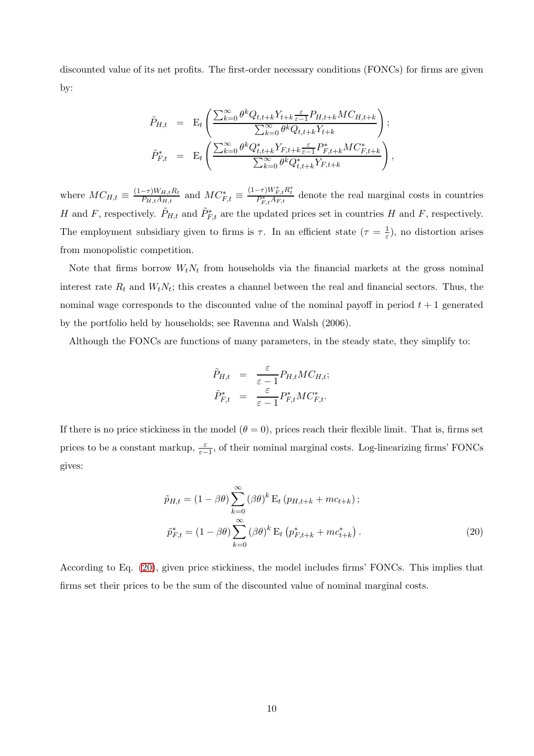discounted value of its net profits. The first-order necessary conditions (FONCs) for firms are given by:

$$
\tilde{P}_{H,t} = \mathbf{E}_t \left( \frac{\sum_{k=0}^{\infty} \theta^k Q_{t,t+k} Y_{t+k} \frac{\varepsilon}{\varepsilon - 1} P_{H,t+k} M C_{H,t+k}}{\sum_{k=0}^{\infty} \theta^k Q_{t,t+k} Y_{t+k}} \right);
$$
\n
$$
\tilde{P}_{F,t}^* = \mathbf{E}_t \left( \frac{\sum_{k=0}^{\infty} \theta^k Q_{t,t+k}^* Y_{F,t+k} \frac{\varepsilon}{\varepsilon - 1} P_{F,t+k}^* M C_{F,t+k}^*}{\sum_{k=0}^{\infty} \theta^k Q_{t,t+k}^* Y_{F,t+k}} \right),
$$

where  $MC_{H,t} \equiv \frac{(1-\tau)W_{H,t}R_t}{P_{H,t}A_{H,t}}$  $\frac{(-\tau)W_{H,t}R_t}{P_{H,t}A_{H,t}}$  and  $MC^*_{F,t} \equiv \frac{(1-\tau)W^*_{F,t}R^*_t}{P^*_{F,t}A_{F,t}}$  denote the real marginal costs in countries H and F, respectively.  $\tilde{P}_{H,t}$  and  $\tilde{P}_{F,t}^*$  are the updated prices set in countries H and F, respectively. The employment subsidiary given to firms is  $\tau$ . In an efficient state  $(\tau = \frac{1}{\varepsilon})$ , no distortion arises from monopolistic competition.

Note that firms borrow  $W_t N_t$  from households via the financial markets at the gross nominal interest rate  $R_t$  and  $W_t N_t$ ; this creates a channel between the real and financial sectors. Thus, the nominal wage corresponds to the discounted value of the nominal payoff in period  $t + 1$  generated by the portfolio held by households; see Ravenna and Walsh (2006).

Although the FONCs are functions of many parameters, in the steady state, they simplify to:

$$
\tilde{P}_{H,t} = \frac{\varepsilon}{\varepsilon - 1} P_{H,t} M C_{H,t};
$$
\n
$$
\tilde{P}_{F,t}^* = \frac{\varepsilon}{\varepsilon - 1} P_{F,t}^* M C_{F,t}^*.
$$

If there is no price stickiness in the model  $(\theta = 0)$ , prices reach their flexible limit. That is, firms set prices to be a constant markup,  $\frac{\varepsilon}{\varepsilon-1}$ , of their nominal marginal costs. Log-linearizing firms' FONCs gives:

<span id="page-10-0"></span>
$$
\tilde{p}_{H,t} = (1 - \beta \theta) \sum_{k=0}^{\infty} (\beta \theta)^k E_t (p_{H,t+k} + mc_{t+k});
$$
  

$$
\tilde{p}_{F,t}^* = (1 - \beta \theta) \sum_{k=0}^{\infty} (\beta \theta)^k E_t (p_{F,t+k}^* + mc_{t+k}^*).
$$
 (20)

According to Eq. [\(20\)](#page-10-0), given price stickiness, the model includes firms' FONCs. This implies that firms set their prices to be the sum of the discounted value of nominal marginal costs.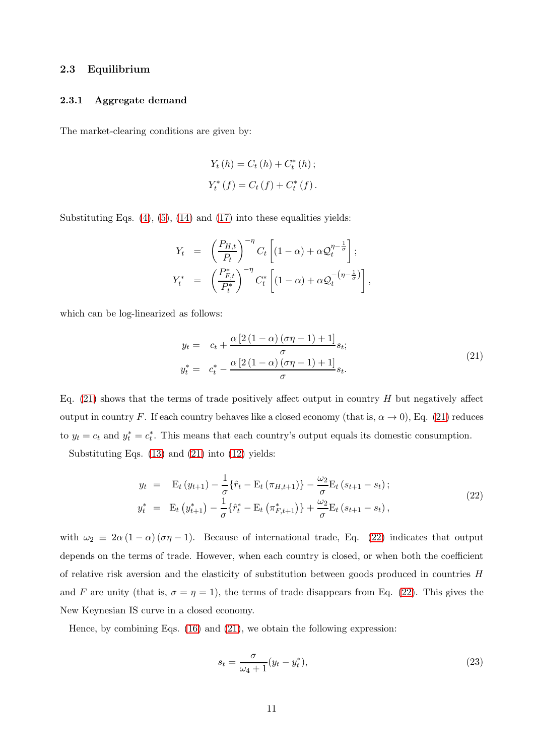#### 2.3 Equilibrium

#### 2.3.1 Aggregate demand

The market-clearing conditions are given by:

$$
Y_{t}(h) = C_{t}(h) + C_{t}^{*}(h) ;
$$
  

$$
Y_{t}^{*}(f) = C_{t}(f) + C_{t}^{*}(f) .
$$

Substituting Eqs.  $(4)$ ,  $(5)$ ,  $(14)$  and  $(17)$  into these equalities yields:

$$
Y_t = \left(\frac{P_{H,t}}{P_t}\right)^{-\eta} C_t \left[ (1-\alpha) + \alpha \mathcal{Q}_t^{\eta - \frac{1}{\sigma}} \right];
$$
  

$$
Y_t^* = \left(\frac{P_{F,t}^*}{P_t^*}\right)^{-\eta} C_t^* \left[ (1-\alpha) + \alpha \mathcal{Q}_t^{-(\eta - \frac{1}{\sigma})} \right],
$$

which can be log-linearized as follows:

<span id="page-11-0"></span>
$$
y_t = c_t + \frac{\alpha \left[2\left(1-\alpha\right)\left(\sigma\eta-1\right)+1\right]}{\sigma} s_t;
$$
\n
$$
y_t^* = c_t^* - \frac{\alpha \left[2\left(1-\alpha\right)\left(\sigma\eta-1\right)+1\right]}{\sigma} s_t.
$$
\n
$$
(21)
$$

Eq. [\(21\)](#page-11-0) shows that the terms of trade positively affect output in country  $H$  but negatively affect output in country F. If each country behaves like a closed economy (that is,  $\alpha \to 0$ ), Eq. [\(21\)](#page-11-0) reduces to  $y_t = c_t$  and  $y_t^* = c_t^*$ . This means that each country's output equals its domestic consumption.

Substituting Eqs. [\(13\)](#page-7-0) and [\(21\)](#page-11-0) into [\(12\)](#page-7-1) yields:

<span id="page-11-1"></span>
$$
y_{t} = \mathbf{E}_{t} (y_{t+1}) - \frac{1}{\sigma} \{\hat{r}_{t} - \mathbf{E}_{t} (\pi_{H,t+1})\} - \frac{\omega_{2}}{\sigma} \mathbf{E}_{t} (s_{t+1} - s_{t});
$$
  
\n
$$
y_{t}^{*} = \mathbf{E}_{t} (y_{t+1}^{*}) - \frac{1}{\sigma} \{\hat{r}_{t}^{*} - \mathbf{E}_{t} (\pi_{F,t+1}^{*})\} + \frac{\omega_{2}}{\sigma} \mathbf{E}_{t} (s_{t+1} - s_{t}),
$$
\n(22)

with  $\omega_2 \equiv 2\alpha (1-\alpha) (\sigma \eta - 1)$ . Because of international trade, Eq. [\(22\)](#page-11-1) indicates that output depends on the terms of trade. However, when each country is closed, or when both the coefficient of relative risk aversion and the elasticity of substitution between goods produced in countries  $H$ and F are unity (that is,  $\sigma = \eta = 1$ ), the terms of trade disappears from Eq. [\(22\)](#page-11-1). This gives the New Keynesian IS curve in a closed economy.

Hence, by combining Eqs.  $(16)$  and  $(21)$ , we obtain the following expression:

<span id="page-11-2"></span>
$$
s_t = \frac{\sigma}{\omega_4 + 1}(y_t - y_t^*),\tag{23}
$$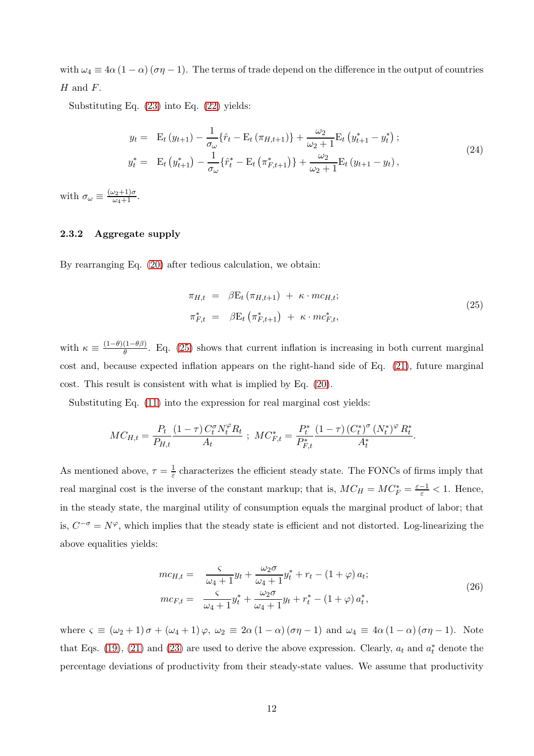with  $\omega_4 \equiv 4\alpha (1 - \alpha) (\sigma \eta - 1)$ . The terms of trade depend on the difference in the output of countries  $H$  and  $F$ .

Substituting Eq. [\(23\)](#page-11-2) into Eq. [\(22\)](#page-11-1) yields:

<span id="page-12-2"></span>
$$
y_{t} = \mathbf{E}_{t} (y_{t+1}) - \frac{1}{\sigma_{\omega}} \{\hat{r}_{t} - \mathbf{E}_{t} (\pi_{H,t+1})\} + \frac{\omega_{2}}{\omega_{2} + 1} \mathbf{E}_{t} (y_{t+1}^{*} - y_{t}^{*}) ;
$$
  
\n
$$
y_{t}^{*} = \mathbf{E}_{t} (y_{t+1}^{*}) - \frac{1}{\sigma_{\omega}} \{\hat{r}_{t}^{*} - \mathbf{E}_{t} (\pi_{F,t+1}^{*})\} + \frac{\omega_{2}}{\omega_{2} + 1} \mathbf{E}_{t} (y_{t+1} - y_{t}) ,
$$
\n(24)

with  $\sigma_{\omega} \equiv \frac{(\omega_2 + 1)\sigma}{\omega_4 + 1}$ .

#### 2.3.2 Aggregate supply

By rearranging Eq. [\(20\)](#page-10-0) after tedious calculation, we obtain:

<span id="page-12-0"></span>
$$
\pi_{H,t} = \beta \mathbf{E}_t (\pi_{H,t+1}) + \kappa \cdot mc_{H,t};
$$
  
\n
$$
\pi_{F,t}^* = \beta \mathbf{E}_t (\pi_{F,t+1}^*) + \kappa \cdot mc_{F,t}^*,
$$
\n(25)

with  $\kappa \equiv \frac{(1-\theta)(1-\theta\beta)}{\theta}$  $\frac{(1-\theta p)}{\theta}$ . Eq. [\(25\)](#page-12-0) shows that current inflation is increasing in both current marginal cost and, because expected inflation appears on the right-hand side of Eq. [\(21\)](#page-11-0), future marginal cost. This result is consistent with what is implied by Eq. [\(20\)](#page-10-0).

Substituting Eq. [\(11\)](#page-7-2) into the expression for real marginal cost yields:

$$
MC_{H,t} = \frac{P_t}{P_{H,t}} \frac{(1-\tau)\, C^{\sigma}_t N^{\varphi}_t R_t}{A_t} \; ; \; MC_{F,t}^{*} = \frac{P^*_t}{P^*_{F,t}} \frac{(1-\tau)\, (C^*_t)^{\sigma} \, (N^*_t)^{\varphi} \, R^*_t}{A^*_t}.
$$

As mentioned above,  $\tau = \frac{1}{\varepsilon}$  characterizes the efficient steady state. The FONCs of firms imply that real marginal cost is the inverse of the constant markup; that is,  $MC_H = MC_F^* = \frac{\varepsilon - 1}{\varepsilon} < 1$ . Hence, in the steady state, the marginal utility of consumption equals the marginal product of labor; that is,  $C^{-\sigma} = N^{\varphi}$ , which implies that the steady state is efficient and not distorted. Log-linearizing the above equalities yields:

<span id="page-12-1"></span>
$$
mc_{H,t} = \frac{c}{\omega_4 + 1} y_t + \frac{\omega_2 \sigma}{\omega_4 + 1} y_t^* + r_t - (1 + \varphi) a_t;
$$
  

$$
mc_{F,t} = \frac{c}{\omega_4 + 1} y_t^* + \frac{\omega_2 \sigma}{\omega_4 + 1} y_t + r_t^* - (1 + \varphi) a_t^*,
$$
 (26)

where  $\varsigma \equiv (\omega_2 + 1) \sigma + (\omega_4 + 1) \varphi$ ,  $\omega_2 \equiv 2\alpha (1 - \alpha) (\sigma \eta - 1)$  and  $\omega_4 \equiv 4\alpha (1 - \alpha) (\sigma \eta - 1)$ . Note that Eqs. [\(19\)](#page-9-2), [\(21\)](#page-11-0) and [\(23\)](#page-11-2) are used to derive the above expression. Clearly,  $a_t$  and  $a_t^*$  denote the percentage deviations of productivity from their steady-state values. We assume that productivity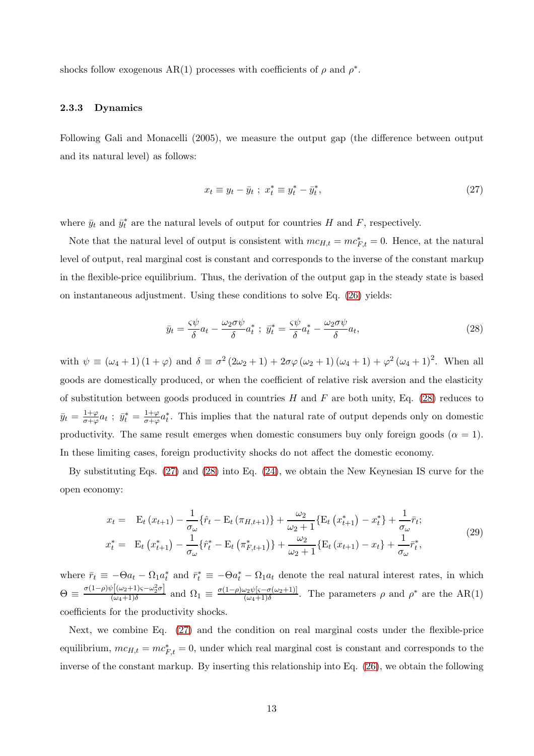shocks follow exogenous AR(1) processes with coefficients of  $\rho$  and  $\rho^*$ .

#### 2.3.3 Dynamics

Following Gali and Monacelli (2005), we measure the output gap (the difference between output and its natural level) as follows:

<span id="page-13-1"></span>
$$
x_t \equiv y_t - \bar{y}_t \; ; \; x_t^* \equiv y_t^* - \bar{y}_t^*, \tag{27}
$$

where  $\bar{y}_t$  and  $\bar{y}_t^*$  are the natural levels of output for countries H and F, respectively.

Note that the natural level of output is consistent with  $mc_{H,t} = mc_{F,t}^* = 0$ . Hence, at the natural level of output, real marginal cost is constant and corresponds to the inverse of the constant markup in the flexible-price equilibrium. Thus, the derivation of the output gap in the steady state is based on instantaneous adjustment. Using these conditions to solve Eq. [\(26\)](#page-12-1) yields:

<span id="page-13-0"></span>
$$
\bar{y}_t = \frac{\varsigma \psi}{\delta} a_t - \frac{\omega_2 \sigma \psi}{\delta} a_t^* \; ; \; \bar{y}_t^* = \frac{\varsigma \psi}{\delta} a_t^* - \frac{\omega_2 \sigma \psi}{\delta} a_t,\tag{28}
$$

with  $\psi \equiv (\omega_4 + 1)(1 + \varphi)$  and  $\delta \equiv \sigma^2 (2\omega_2 + 1) + 2\sigma\varphi (\omega_2 + 1)(\omega_4 + 1) + \varphi^2 (\omega_4 + 1)^2$ . When all goods are domestically produced, or when the coefficient of relative risk aversion and the elasticity of substitution between goods produced in countries  $H$  and  $F$  are both unity, Eq. [\(28\)](#page-13-0) reduces to  $\bar{y}_t = \frac{1+\varphi}{\sigma+\varphi}$  $\frac{1+\varphi}{\sigma+\varphi}a_t$  ;  $\bar{y}_t^* = \frac{1+\varphi}{\sigma+\varphi}$  $\frac{1+\varphi}{\sigma+\varphi}a_t^*$ . This implies that the natural rate of output depends only on domestic productivity. The same result emerges when domestic consumers buy only foreign goods ( $\alpha = 1$ ). In these limiting cases, foreign productivity shocks do not affect the domestic economy.

By substituting Eqs. [\(27\)](#page-13-1) and [\(28\)](#page-13-0) into Eq. [\(24\)](#page-12-2), we obtain the New Keynesian IS curve for the open economy:

$$
x_{t} = \mathbf{E}_{t} (x_{t+1}) - \frac{1}{\sigma_{\omega}} \{\hat{r}_{t} - \mathbf{E}_{t} (\pi_{H,t+1})\} + \frac{\omega_{2}}{\omega_{2} + 1} \{\mathbf{E}_{t} (x_{t+1}^{*}) - x_{t}^{*}\} + \frac{1}{\sigma_{\omega}} \bar{r}_{t};
$$
  
\n
$$
x_{t}^{*} = \mathbf{E}_{t} (x_{t+1}^{*}) - \frac{1}{\sigma_{\omega}} \{\hat{r}_{t}^{*} - \mathbf{E}_{t} (\pi_{F,t+1}^{*})\} + \frac{\omega_{2}}{\omega_{2} + 1} \{\mathbf{E}_{t} (x_{t+1}) - x_{t}\} + \frac{1}{\sigma_{\omega}} \bar{r}_{t}^{*},
$$
\n(29)

where  $\bar{r}_t \equiv -\Theta a_t - \Omega_1 a_t^*$  and  $\bar{r}_t^* \equiv -\Theta a_t^* - \Omega_1 a_t$  denote the real natural interest rates, in which  $\Theta \equiv \frac{\sigma (1-\rho) \psi [(\omega_2+1)\varsigma - \omega_2^2 \sigma]}{(\omega_2+1)\delta}$  $\frac{\partial [(\omega_2+1)\varsigma-\omega_2^2\sigma]}{(\omega_4+1)\delta}$  and  $\Omega_1 \equiv \frac{\sigma(1-\rho)\omega_2\psi[\varsigma-\sigma(\omega_2+1)]}{(\omega_4+1)\delta}$  $\frac{\partial^2 \psi(s-\sigma(\omega_2+1))}{(\omega_4+1)\delta}$ . The parameters  $\rho$  and  $\rho^*$  are the AR(1) coefficients for the productivity shocks.

Next, we combine Eq. [\(27\)](#page-13-1) and the condition on real marginal costs under the flexible-price equilibrium,  $mc_{H,t} = mc_{F,t}^{*} = 0$ , under which real marginal cost is constant and corresponds to the inverse of the constant markup. By inserting this relationship into Eq. [\(26\)](#page-12-1), we obtain the following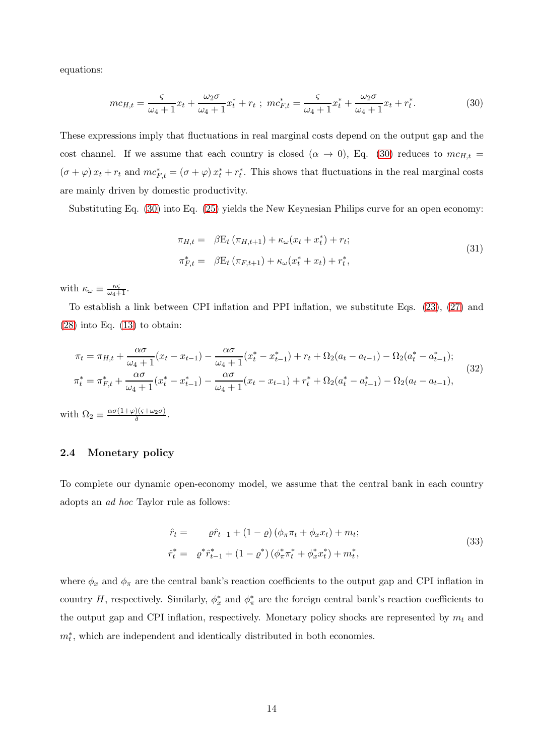equations:

<span id="page-14-0"></span>
$$
mc_{H,t} = \frac{s}{\omega_4 + 1}x_t + \frac{\omega_2 \sigma}{\omega_4 + 1}x_t^* + r_t \; ; \; mc_{F,t}^* = \frac{s}{\omega_4 + 1}x_t^* + \frac{\omega_2 \sigma}{\omega_4 + 1}x_t + r_t^*.
$$
 (30)

These expressions imply that fluctuations in real marginal costs depend on the output gap and the cost channel. If we assume that each country is closed  $(\alpha \to 0)$ , Eq. [\(30\)](#page-14-0) reduces to  $mc_{H,t}$  =  $(\sigma + \varphi) x_t + r_t$  and  $mc_{F,t}^* = (\sigma + \varphi) x_t^* + r_t^*$ . This shows that fluctuations in the real marginal costs are mainly driven by domestic productivity.

Substituting Eq. [\(30\)](#page-14-0) into Eq. [\(25\)](#page-12-0) yields the New Keynesian Philips curve for an open economy:

$$
\pi_{H,t} = \beta E_t (\pi_{H,t+1}) + \kappa_\omega (x_t + x_t^*) + r_t; \n\pi_{F,t}^* = \beta E_t (\pi_{F,t+1}) + \kappa_\omega (x_t^* + x_t) + r_t^*,
$$
\n(31)

with  $\kappa_{\omega} \equiv \frac{\kappa \varsigma}{\omega_4 + 1}$ .

To establish a link between CPI inflation and PPI inflation, we substitute Eqs. [\(23\)](#page-11-2), [\(27\)](#page-13-1) and  $(28)$  into Eq.  $(13)$  to obtain:

$$
\pi_t = \pi_{H,t} + \frac{\alpha \sigma}{\omega_4 + 1} (x_t - x_{t-1}) - \frac{\alpha \sigma}{\omega_4 + 1} (x_t^* - x_{t-1}^*) + r_t + \Omega_2 (a_t - a_{t-1}) - \Omega_2 (a_t^* - a_{t-1}^*);
$$
\n
$$
\pi_t^* = \pi_{F,t}^* + \frac{\alpha \sigma}{\omega_4 + 1} (x_t^* - x_{t-1}^*) - \frac{\alpha \sigma}{\omega_4 + 1} (x_t - x_{t-1}) + r_t^* + \Omega_2 (a_t^* - a_{t-1}^*) - \Omega_2 (a_t - a_{t-1}),
$$
\n(32)

with  $\Omega_2 \equiv \frac{\alpha \sigma (1+\varphi)(\varsigma + \omega_2 \sigma)}{\delta}$ )<u>(s+ω2σ)</u>.<br>δ

#### 2.4 Monetary policy

To complete our dynamic open-economy model, we assume that the central bank in each country adopts an *ad hoc* Taylor rule as follows:

$$
\hat{r}_t = \rho \hat{r}_{t-1} + (1 - \rho) (\phi_\pi \pi_t + \phi_x x_t) + m_t; \n\hat{r}_t^* = \rho^* \hat{r}_{t-1}^* + (1 - \rho^*) (\phi_\pi^* \pi_t^* + \phi_x^* x_t^*) + m_t^*,
$$
\n(33)

where  $\phi_x$  and  $\phi_\pi$  are the central bank's reaction coefficients to the output gap and CPI inflation in country H, respectively. Similarly,  $\phi_x^*$  and  $\phi_{\pi}^*$  are the foreign central bank's reaction coefficients to the output gap and CPI inflation, respectively. Monetary policy shocks are represented by  $m_t$  and  $m_t^*$ , which are independent and identically distributed in both economies.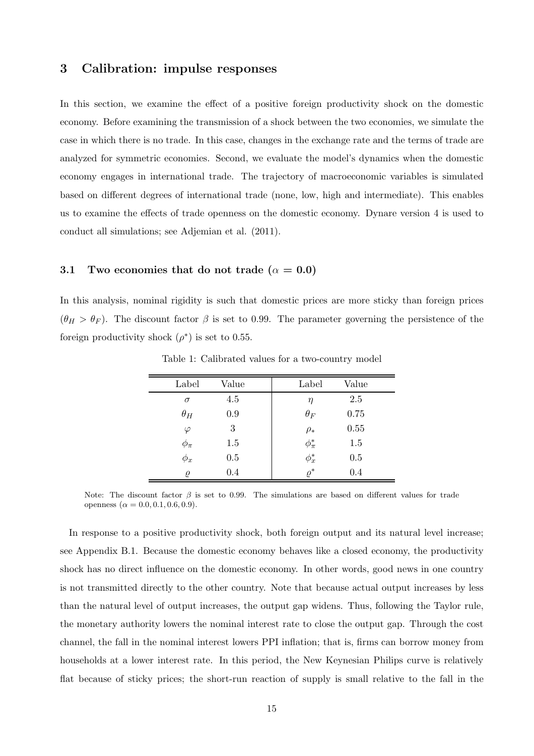### 3 Calibration: impulse responses

In this section, we examine the effect of a positive foreign productivity shock on the domestic economy. Before examining the transmission of a shock between the two economies, we simulate the case in which there is no trade. In this case, changes in the exchange rate and the terms of trade are analyzed for symmetric economies. Second, we evaluate the model's dynamics when the domestic economy engages in international trade. The trajectory of macroeconomic variables is simulated based on different degrees of international trade (none, low, high and intermediate). This enables us to examine the effects of trade openness on the domestic economy. Dynare version 4 is used to conduct all simulations; see Adjemian et al. (2011).

#### 3.1 Two economies that do not trade ( $\alpha = 0.0$ )

<span id="page-15-0"></span>In this analysis, nominal rigidity is such that domestic prices are more sticky than foreign prices  $(\theta_H > \theta_F)$ . The discount factor  $\beta$  is set to 0.99. The parameter governing the persistence of the foreign productivity shock  $(\rho^*)$  is set to 0.55.

| Label      | Value | Label          | Value |
|------------|-------|----------------|-------|
| $\sigma$   | 4.5   | η              | 2.5   |
| $\theta_H$ | 0.9   | $\theta_F$     | 0.75  |
| $\varphi$  | 3     | $\rho_*$       | 0.55  |
| $\phi_\pi$ | 1.5   | $\phi_{\pi}^*$ | 1.5   |
| $\phi_x$   | 0.5   | $\phi_x^*$     | 0.5   |
| $\rho$     | 0.4   | $\rho^*$       | 0.4   |

Table 1: Calibrated values for a two-country model

Note: The discount factor  $\beta$  is set to 0.99. The simulations are based on different values for trade openness ( $\alpha = 0.0, 0.1, 0.6, 0.9$ ).

In response to a positive productivity shock, both foreign output and its natural level increase; see Appendix B.1. Because the domestic economy behaves like a closed economy, the productivity shock has no direct influence on the domestic economy. In other words, good news in one country is not transmitted directly to the other country. Note that because actual output increases by less than the natural level of output increases, the output gap widens. Thus, following the Taylor rule, the monetary authority lowers the nominal interest rate to close the output gap. Through the cost channel, the fall in the nominal interest lowers PPI inflation; that is, firms can borrow money from households at a lower interest rate. In this period, the New Keynesian Philips curve is relatively flat because of sticky prices; the short-run reaction of supply is small relative to the fall in the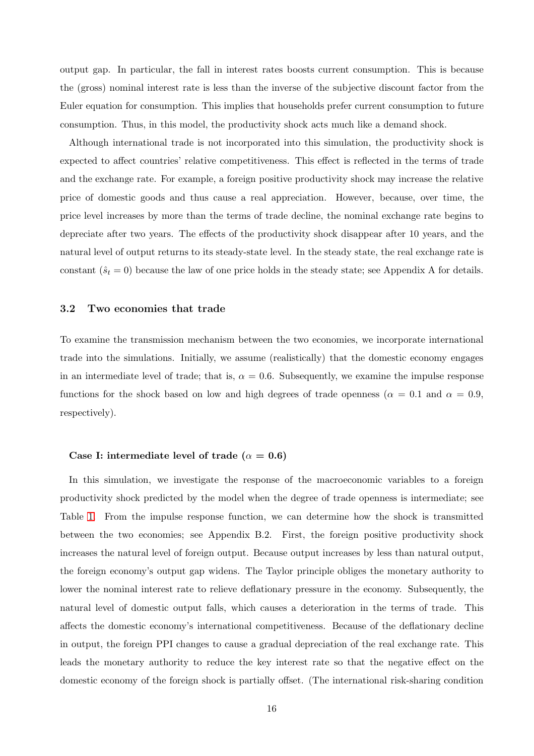output gap. In particular, the fall in interest rates boosts current consumption. This is because the (gross) nominal interest rate is less than the inverse of the subjective discount factor from the Euler equation for consumption. This implies that households prefer current consumption to future consumption. Thus, in this model, the productivity shock acts much like a demand shock.

Although international trade is not incorporated into this simulation, the productivity shock is expected to affect countries' relative competitiveness. This effect is reflected in the terms of trade and the exchange rate. For example, a foreign positive productivity shock may increase the relative price of domestic goods and thus cause a real appreciation. However, because, over time, the price level increases by more than the terms of trade decline, the nominal exchange rate begins to depreciate after two years. The effects of the productivity shock disappear after 10 years, and the natural level of output returns to its steady-state level. In the steady state, the real exchange rate is constant  $(\hat{s}_t = 0)$  because the law of one price holds in the steady state; see Appendix A for details.

#### 3.2 Two economies that trade

To examine the transmission mechanism between the two economies, we incorporate international trade into the simulations. Initially, we assume (realistically) that the domestic economy engages in an intermediate level of trade; that is,  $\alpha = 0.6$ . Subsequently, we examine the impulse response functions for the shock based on low and high degrees of trade openness ( $\alpha = 0.1$  and  $\alpha = 0.9$ , respectively).

#### Case I: intermediate level of trade ( $\alpha = 0.6$ )

In this simulation, we investigate the response of the macroeconomic variables to a foreign productivity shock predicted by the model when the degree of trade openness is intermediate; see Table [1.](#page-15-0) From the impulse response function, we can determine how the shock is transmitted between the two economies; see Appendix B.2. First, the foreign positive productivity shock increases the natural level of foreign output. Because output increases by less than natural output, the foreign economy's output gap widens. The Taylor principle obliges the monetary authority to lower the nominal interest rate to relieve deflationary pressure in the economy. Subsequently, the natural level of domestic output falls, which causes a deterioration in the terms of trade. This affects the domestic economy's international competitiveness. Because of the deflationary decline in output, the foreign PPI changes to cause a gradual depreciation of the real exchange rate. This leads the monetary authority to reduce the key interest rate so that the negative effect on the domestic economy of the foreign shock is partially offset. (The international risk-sharing condition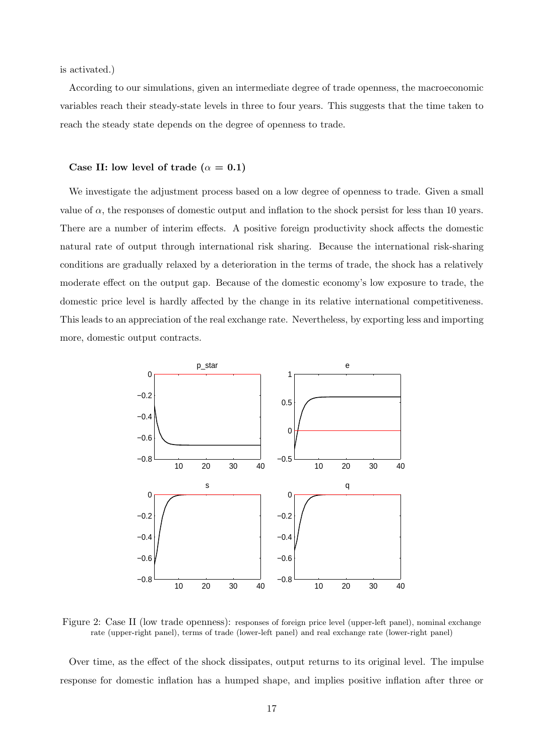is activated.)

According to our simulations, given an intermediate degree of trade openness, the macroeconomic variables reach their steady-state levels in three to four years. This suggests that the time taken to reach the steady state depends on the degree of openness to trade.

#### Case II: low level of trade ( $\alpha = 0.1$ )

We investigate the adjustment process based on a low degree of openness to trade. Given a small value of  $\alpha$ , the responses of domestic output and inflation to the shock persist for less than 10 years. There are a number of interim effects. A positive foreign productivity shock affects the domestic natural rate of output through international risk sharing. Because the international risk-sharing conditions are gradually relaxed by a deterioration in the terms of trade, the shock has a relatively moderate effect on the output gap. Because of the domestic economy's low exposure to trade, the domestic price level is hardly affected by the change in its relative international competitiveness. This leads to an appreciation of the real exchange rate. Nevertheless, by exporting less and importing more, domestic output contracts.



Figure 2: Case II (low trade openness): responses of foreign price level (upper-left panel), nominal exchange rate (upper-right panel), terms of trade (lower-left panel) and real exchange rate (lower-right panel)

Over time, as the effect of the shock dissipates, output returns to its original level. The impulse response for domestic inflation has a humped shape, and implies positive inflation after three or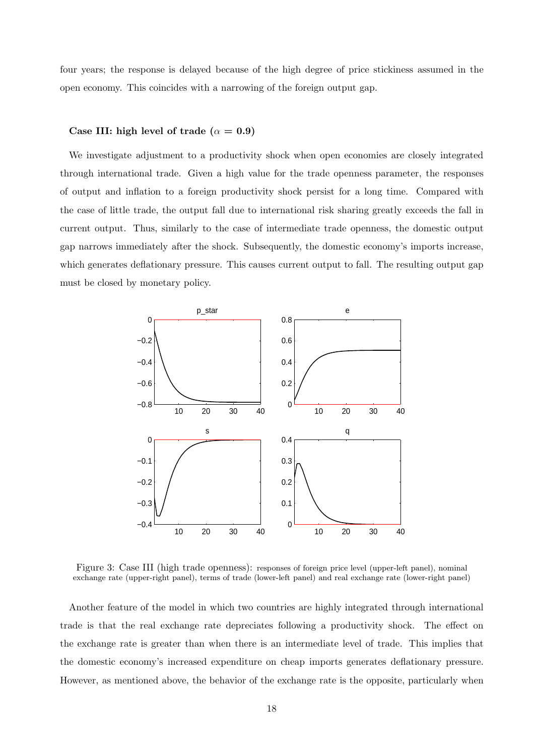four years; the response is delayed because of the high degree of price stickiness assumed in the open economy. This coincides with a narrowing of the foreign output gap.

#### Case III: high level of trade ( $\alpha = 0.9$ )

We investigate adjustment to a productivity shock when open economies are closely integrated through international trade. Given a high value for the trade openness parameter, the responses of output and inflation to a foreign productivity shock persist for a long time. Compared with the case of little trade, the output fall due to international risk sharing greatly exceeds the fall in current output. Thus, similarly to the case of intermediate trade openness, the domestic output gap narrows immediately after the shock. Subsequently, the domestic economy's imports increase, which generates deflationary pressure. This causes current output to fall. The resulting output gap must be closed by monetary policy.



Figure 3: Case III (high trade openness): responses of foreign price level (upper-left panel), nominal exchange rate (upper-right panel), terms of trade (lower-left panel) and real exchange rate (lower-right panel)

Another feature of the model in which two countries are highly integrated through international trade is that the real exchange rate depreciates following a productivity shock. The effect on the exchange rate is greater than when there is an intermediate level of trade. This implies that the domestic economy's increased expenditure on cheap imports generates deflationary pressure. However, as mentioned above, the behavior of the exchange rate is the opposite, particularly when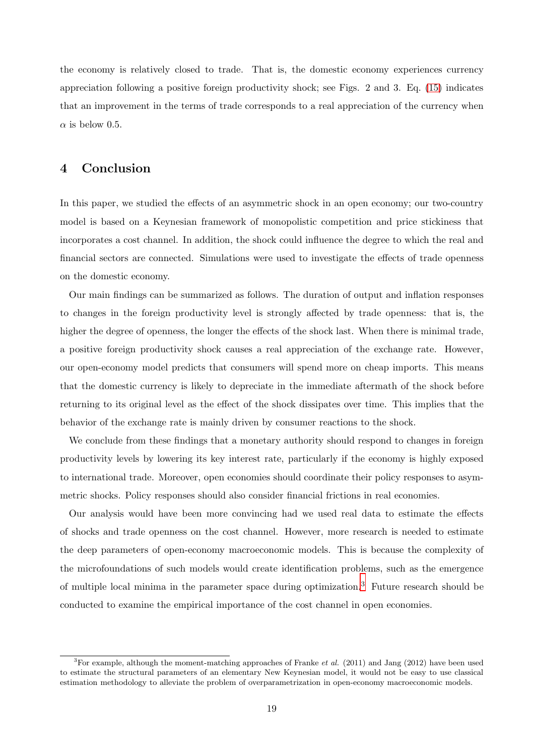the economy is relatively closed to trade. That is, the domestic economy experiences currency appreciation following a positive foreign productivity shock; see Figs. 2 and 3. Eq. [\(15\)](#page-8-0) indicates that an improvement in the terms of trade corresponds to a real appreciation of the currency when  $\alpha$  is below 0.5.

## 4 Conclusion

In this paper, we studied the effects of an asymmetric shock in an open economy; our two-country model is based on a Keynesian framework of monopolistic competition and price stickiness that incorporates a cost channel. In addition, the shock could influence the degree to which the real and financial sectors are connected. Simulations were used to investigate the effects of trade openness on the domestic economy.

Our main findings can be summarized as follows. The duration of output and inflation responses to changes in the foreign productivity level is strongly affected by trade openness: that is, the higher the degree of openness, the longer the effects of the shock last. When there is minimal trade, a positive foreign productivity shock causes a real appreciation of the exchange rate. However, our open-economy model predicts that consumers will spend more on cheap imports. This means that the domestic currency is likely to depreciate in the immediate aftermath of the shock before returning to its original level as the effect of the shock dissipates over time. This implies that the behavior of the exchange rate is mainly driven by consumer reactions to the shock.

We conclude from these findings that a monetary authority should respond to changes in foreign productivity levels by lowering its key interest rate, particularly if the economy is highly exposed to international trade. Moreover, open economies should coordinate their policy responses to asymmetric shocks. Policy responses should also consider financial frictions in real economies.

Our analysis would have been more convincing had we used real data to estimate the effects of shocks and trade openness on the cost channel. However, more research is needed to estimate the deep parameters of open-economy macroeconomic models. This is because the complexity of the microfoundations of such models would create identification problems, such as the emergence of multiple local minima in the parameter space during optimization.<sup>3</sup> Future research should be conducted to examine the empirical importance of the cost channel in open economies.

<sup>&</sup>lt;sup>3</sup>For example, although the moment-matching approaches of Franke *et al.* (2011) and Jang (2012) have been used to estimate the structural parameters of an elementary New Keynesian model, it would not be easy to use classical estimation methodology to alleviate the problem of overparametrization in open-economy macroeconomic models.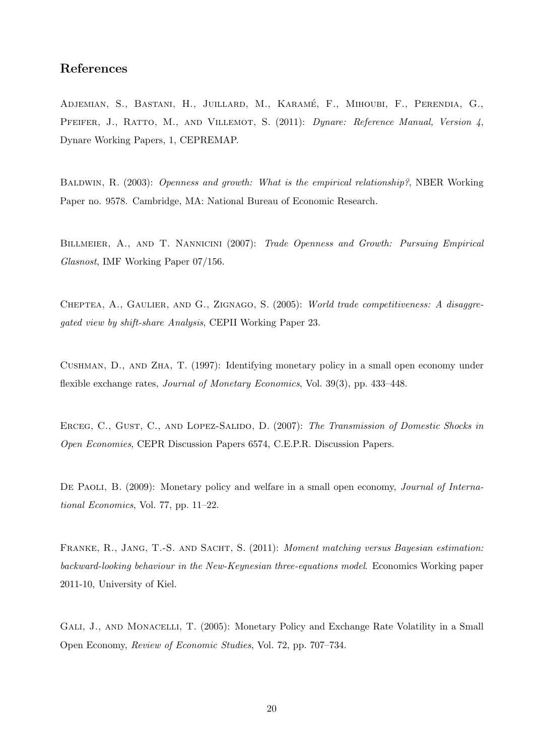## References

Adjemian, S., Bastani, H., Juillard, M., Karam´e, F., Mihoubi, F., Perendia, G., Pfeifer, J., Ratto, M., and Villemot, S. (2011): *Dynare: Reference Manual, Version 4*, Dynare Working Papers, 1, CEPREMAP.

Baldwin, R. (2003): *Openness and growth: What is the empirical relationship?*, NBER Working Paper no. 9578. Cambridge, MA: National Bureau of Economic Research.

Billmeier, A., and T. Nannicini (2007): *Trade Openness and Growth: Pursuing Empirical Glasnost*, IMF Working Paper 07/156.

Cheptea, A., Gaulier, and G., Zignago, S. (2005): *World trade competitiveness: A disaggregated view by shift-share Analysis*, CEPII Working Paper 23.

Cushman, D., and Zha, T. (1997): Identifying monetary policy in a small open economy under flexible exchange rates, *Journal of Monetary Economics*, Vol. 39(3), pp. 433–448.

Erceg, C., Gust, C., and Lopez-Salido, D. (2007): *The Transmission of Domestic Shocks in Open Economies*, CEPR Discussion Papers 6574, C.E.P.R. Discussion Papers.

De Paoli, B. (2009): Monetary policy and welfare in a small open economy, *Journal of International Economics*, Vol. 77, pp. 11–22.

Franke, R., Jang, T.-S. and Sacht, S. (2011): *Moment matching versus Bayesian estimation: backward-looking behaviour in the New-Keynesian three-equations model*. Economics Working paper 2011-10, University of Kiel.

GALI, J., AND MONACELLI, T. (2005): Monetary Policy and Exchange Rate Volatility in a Small Open Economy, *Review of Economic Studies*, Vol. 72, pp. 707–734.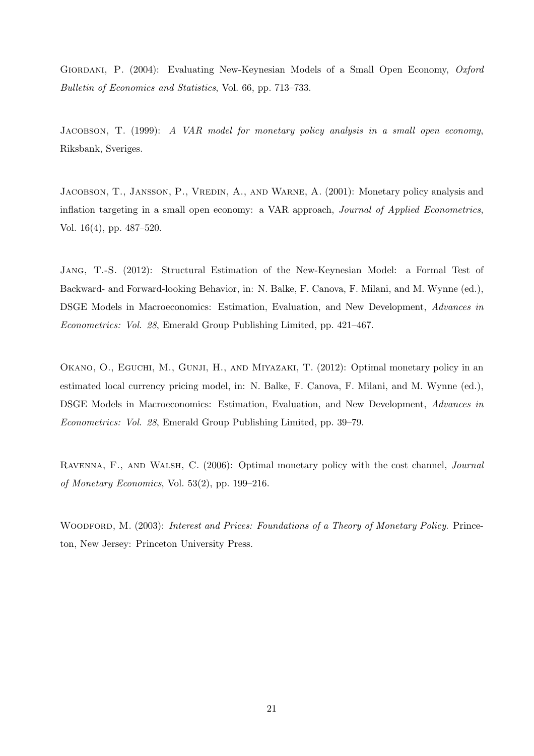GIORDANI, P. (2004): Evaluating New-Keynesian Models of a Small Open Economy, *Oxford Bulletin of Economics and Statistics*, Vol. 66, pp. 713–733.

Jacobson, T. (1999): *A VAR model for monetary policy analysis in a small open economy*, Riksbank, Sveriges.

JACOBSON, T., JANSSON, P., VREDIN, A., AND WARNE, A. (2001): Monetary policy analysis and inflation targeting in a small open economy: a VAR approach, *Journal of Applied Econometrics*, Vol. 16(4), pp. 487–520.

Jang, T.-S. (2012): Structural Estimation of the New-Keynesian Model: a Formal Test of Backward- and Forward-looking Behavior, in: N. Balke, F. Canova, F. Milani, and M. Wynne (ed.), DSGE Models in Macroeconomics: Estimation, Evaluation, and New Development, *Advances in Econometrics: Vol. 28*, Emerald Group Publishing Limited, pp. 421–467.

OKANO, O., EGUCHI, M., GUNJI, H., AND MIYAZAKI, T. (2012): Optimal monetary policy in an estimated local currency pricing model, in: N. Balke, F. Canova, F. Milani, and M. Wynne (ed.), DSGE Models in Macroeconomics: Estimation, Evaluation, and New Development, *Advances in Econometrics: Vol. 28*, Emerald Group Publishing Limited, pp. 39–79.

Ravenna, F., and Walsh, C. (2006): Optimal monetary policy with the cost channel, *Journal of Monetary Economics*, Vol. 53(2), pp. 199–216.

WOODFORD, M. (2003): *Interest and Prices: Foundations of a Theory of Monetary Policy*. Princeton, New Jersey: Princeton University Press.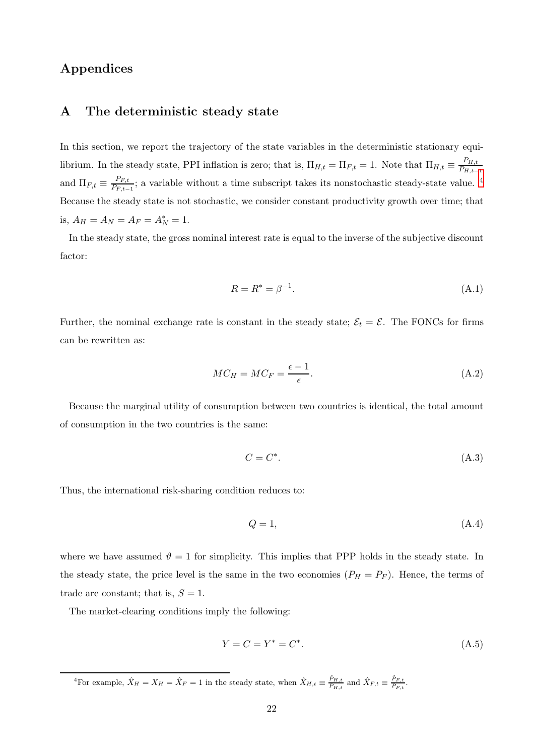## Appendices

## A The deterministic steady state

In this section, we report the trajectory of the state variables in the deterministic stationary equilibrium. In the steady state, PPI inflation is zero; that is,  $\Pi_{H,t} = \Pi_{F,t} = 1$ . Note that  $\Pi_{H,t} \equiv \frac{P_{H,t}}{P_{H,t}}$  $P_{H,t-1}$ and  $\Pi_{F,t} \equiv \frac{P_{F,t}}{P_{F,t}}$  $\frac{P_{F,t}}{P_{F,t-1}}$ ; a variable without a time subscript takes its nonstochastic steady-state value. <sup>4</sup> Because the steady state is not stochastic, we consider constant productivity growth over time; that is,  $A_H = A_N = A_F = A_N^* = 1$ .

In the steady state, the gross nominal interest rate is equal to the inverse of the subjective discount factor:

$$
R = R^* = \beta^{-1}.\tag{A.1}
$$

Further, the nominal exchange rate is constant in the steady state;  $\mathcal{E}_t = \mathcal{E}$ . The FONCs for firms can be rewritten as:

$$
MC_H = MC_F = \frac{\epsilon - 1}{\epsilon}.\tag{A.2}
$$

Because the marginal utility of consumption between two countries is identical, the total amount of consumption in the two countries is the same:

$$
C = C^*.\tag{A.3}
$$

Thus, the international risk-sharing condition reduces to:

$$
Q = 1,\tag{A.4}
$$

where we have assumed  $\vartheta = 1$  for simplicity. This implies that PPP holds in the steady state. In the steady state, the price level is the same in the two economies  $(P_H = P_F)$ . Hence, the terms of trade are constant; that is,  $S = 1$ .

The market-clearing conditions imply the following:

$$
Y = C = Y^* = C^*.
$$
\n(A.5)

<sup>4</sup>For example,  $\hat{X}_H = X_H = \hat{X}_F = 1$  in the steady state, when  $\hat{X}_{H,t} \equiv \frac{\hat{P}_{H,t}}{P_{H,t}}$  $\frac{\hat{P}_{H,t}}{P_{H,t}}$  and  $\hat{X}_{F,t} \equiv \frac{\hat{P}_{F,t}}{P_{F,t}}$  $\frac{F_{F,t}}{P_{F,t}}$ .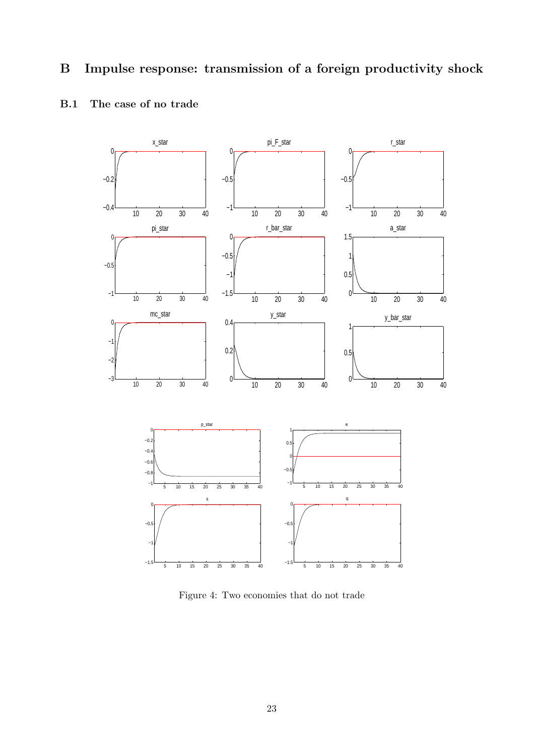# B Impulse response: transmission of a foreign productivity shock



## B.1 The case of no trade

Figure 4: Two economies that do not trade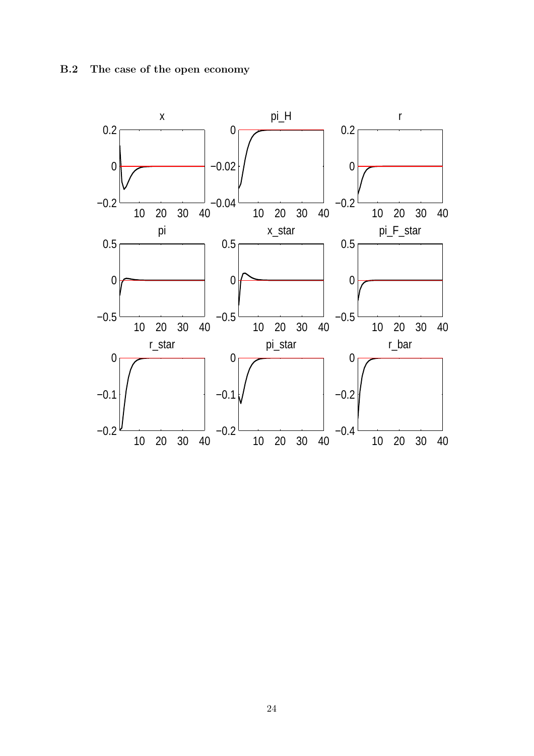B.2 The case of the open economy

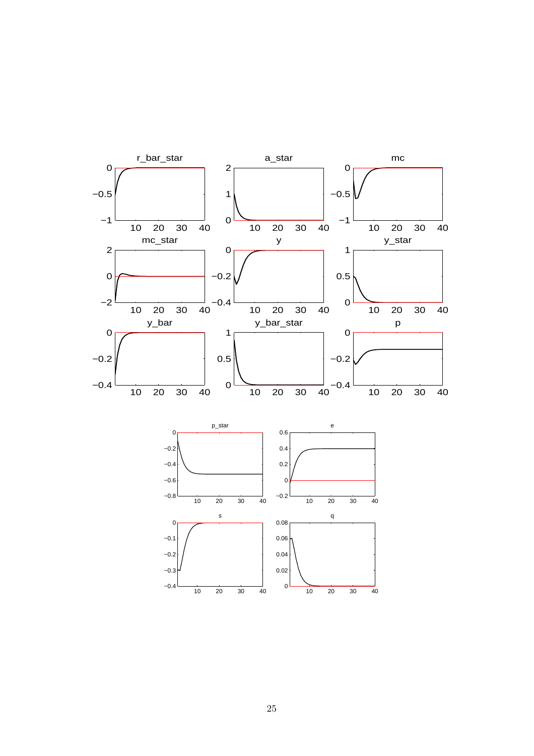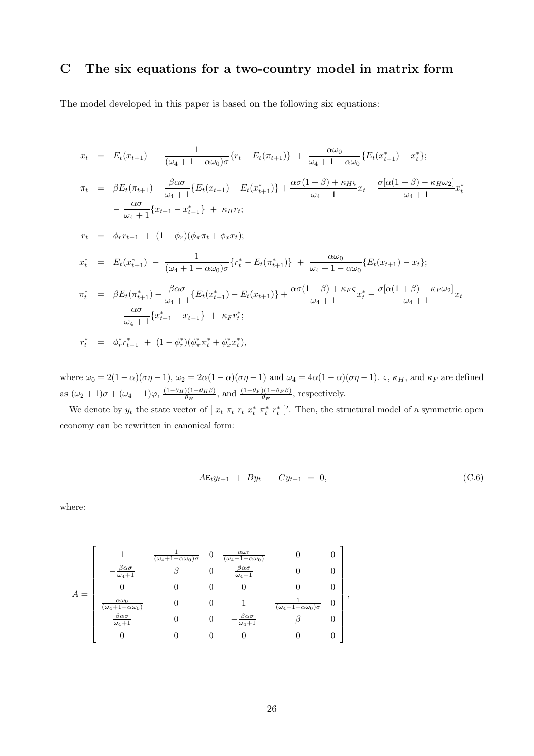## C The six equations for a two-country model in matrix form

The model developed in this paper is based on the following six equations:

$$
x_{t} = E_{t}(x_{t+1}) - \frac{1}{(\omega_{4} + 1 - \alpha\omega_{0})\sigma} \{r_{t} - E_{t}(\pi_{t+1})\} + \frac{\alpha\omega_{0}}{\omega_{4} + 1 - \alpha\omega_{0}} \{E_{t}(x_{t+1}^{*}) - x_{t}^{*}\};
$$
\n
$$
\pi_{t} = \beta E_{t}(\pi_{t+1}) - \frac{\beta\alpha\sigma}{\omega_{4} + 1} \{E_{t}(x_{t+1}) - E_{t}(x_{t+1}^{*})\} + \frac{\alpha\sigma(1 + \beta) + \kappa_{HS}}{\omega_{4} + 1} x_{t} - \frac{\sigma[\alpha(1 + \beta) - \kappa_{H}\omega_{2}]}{\omega_{4} + 1} x_{t}^{*}
$$
\n
$$
-\frac{\alpha\sigma}{\omega_{4} + 1} \{x_{t-1} - x_{t-1}^{*}\} + \kappa_{H}r_{t};
$$
\n
$$
r_{t} = \phi_{r}r_{t-1} + (1 - \phi_{r})(\phi_{\pi}\pi_{t} + \phi_{x}x_{t});
$$
\n
$$
x_{t}^{*} = E_{t}(x_{t+1}^{*}) - \frac{1}{(\omega_{4} + 1 - \alpha\omega_{0})\sigma} \{r_{t}^{*} - E_{t}(\pi_{t+1}^{*})\} + \frac{\alpha\omega_{0}}{\omega_{4} + 1 - \alpha\omega_{0}} \{E_{t}(x_{t+1}) - x_{t}\};
$$
\n
$$
\pi_{t}^{*} = \beta E_{t}(\pi_{t+1}^{*}) - \frac{\beta\alpha\sigma}{\omega_{4} + 1} \{E_{t}(x_{t+1}^{*}) - E_{t}(x_{t+1})\} + \frac{\alpha\sigma(1 + \beta) + \kappa_{FS}}{\omega_{4} + 1} x_{t}^{*} - \frac{\sigma[\alpha(1 + \beta) - \kappa_{F}\omega_{2}]}{\omega_{4} + 1} x_{t}
$$
\n
$$
-\frac{\alpha\sigma}{\omega_{4} + 1} \{x_{t-1}^{*} - x_{t-1}\} + \kappa_{F}r_{t}^{*};
$$
\n
$$
r_{t}^{*} = \phi_{r}^{*}r_{t-1}^{*} + (1 - \phi_{r}^{*})(\phi_{\
$$

where  $\omega_0 = 2(1 - \alpha)(\sigma \eta - 1)$ ,  $\omega_2 = 2\alpha(1 - \alpha)(\sigma \eta - 1)$  and  $\omega_4 = 4\alpha(1 - \alpha)(\sigma \eta - 1)$ .  $\varsigma$ ,  $\kappa_H$ , and  $\kappa_F$  are defined as  $(\omega_2 + 1)\sigma + (\omega_4 + 1)\varphi$ ,  $\frac{(1-\theta_H)(1-\theta_H\beta)}{\theta_H}$  $\frac{(\mu - \theta_H \beta)}{\theta_H}$ , and  $\frac{(1 - \theta_F)(1 - \theta_F \beta)}{\theta_F}$ , respectively.

We denote by  $y_t$  the state vector of  $[x_t \pi_t r_t x_t^* r_t^*]'$ . Then, the structural model of a symmetric open economy can be rewritten in canonical form:

$$
A\mathbf{E}_t y_{t+1} + By_t + Cy_{t-1} = 0, \tag{C.6}
$$

where:

$$
A = \begin{bmatrix} 1 & \frac{1}{(\omega_4 + 1 - \alpha \omega_0)\sigma} & 0 & \frac{\alpha \omega_0}{(\omega_4 + 1 - \alpha \omega_0)} & 0 & 0 \\ -\frac{\beta \alpha \sigma}{\omega_4 + 1} & \beta & 0 & \frac{\beta \alpha \sigma}{\omega_4 + 1} & 0 & 0 \\ 0 & 0 & 0 & 0 & 0 & 0 \\ \frac{\alpha \omega_0}{(\omega_4 + 1 - \alpha \omega_0)} & 0 & 0 & 1 & \frac{1}{(\omega_4 + 1 - \alpha \omega_0)\sigma} & 0 \\ \frac{\beta \alpha \sigma}{\omega_4 + 1} & 0 & 0 & -\frac{\beta \alpha \sigma}{\omega_4 + 1} & \beta & 0 \\ 0 & 0 & 0 & 0 & 0 & 0 & 0 \end{bmatrix},
$$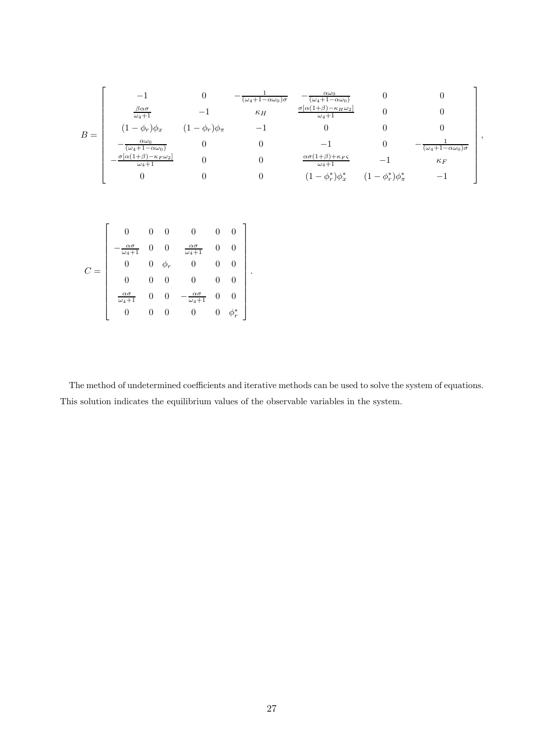$$
B = \begin{bmatrix}\n-1 & 0 & -\frac{1}{(\omega_4 + 1 - \alpha \omega_0)} & -\frac{\alpha \omega_0}{(\omega_4 + 1 - \alpha \omega_0)} & 0 & 0 \\
\frac{\beta \alpha \sigma}{\omega_4 + 1} & -1 & \kappa_H & \frac{\sigma[\alpha(1 + \beta) - \kappa_H \omega_2]}{\omega_4 + 1} & 0 & 0 \\
(1 - \phi_r)\phi_x & (1 - \phi_r)\phi_\pi & -1 & 0 & 0 & 0 \\
-\frac{\alpha \omega_0}{(\omega_4 + 1 - \alpha \omega_0)} & 0 & 0 & -1 & 0 & -\frac{1}{(\omega_4 + 1 - \alpha \omega_0)\sigma} \\
-\frac{\sigma[\alpha(1 + \beta) - \kappa_F \omega_2]}{\omega_4 + 1} & 0 & 0 & \frac{\alpha \sigma(1 + \beta) + \kappa_F \varsigma}{\omega_4 + 1} & -1 & \kappa_F \\
0 & 0 & 0 & (1 - \phi_r^*)\phi_x^* & (1 - \phi_r^*)\phi_\pi^* & -1\n\end{bmatrix},
$$

|  |                                           |          | 0           |                                           |   |        |  |
|--|-------------------------------------------|----------|-------------|-------------------------------------------|---|--------|--|
|  | $\alpha\sigma$<br>$\overline{\omega_4+1}$ |          |             | $\alpha\sigma$<br>$\omega_4+\overline{1}$ |   |        |  |
|  |                                           | 0        | $\varphi_r$ |                                           |   |        |  |
|  |                                           | $\theta$ | 0           |                                           | O | O      |  |
|  | $\alpha\sigma$<br>$\overline{\omega_4+1}$ |          | 0           | $\alpha\sigma$<br>$\overline{\omega_4+1}$ |   |        |  |
|  |                                           |          | 0           | U                                         |   | $\ast$ |  |

The method of undetermined coefficients and iterative methods can be used to solve the system of equations. This solution indicates the equilibrium values of the observable variables in the system.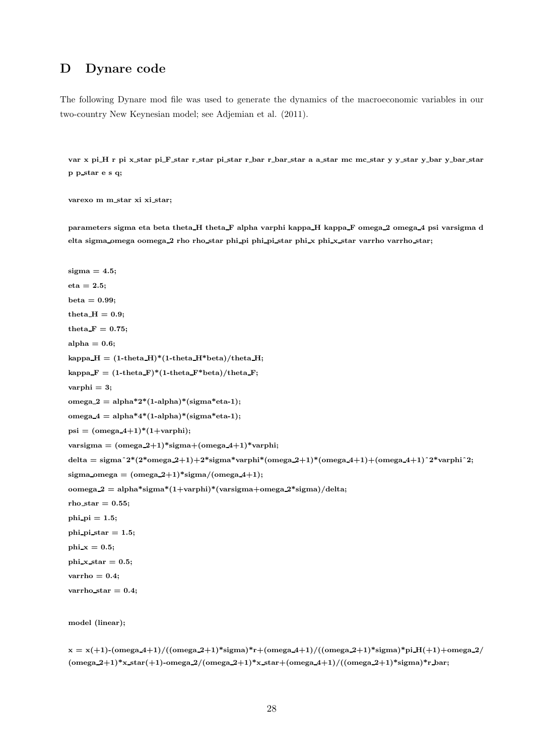## D Dynare code

The following Dynare mod file was used to generate the dynamics of the macroeconomic variables in our two-country New Keynesian model; see Adjemian et al. (2011).

var x pi H r pi x star pi F star r star pi star r bar r bar star a a star mc mc star y y star y bar y bar star p p star e s q;

varexo m m star xi xi star;

parameters sigma eta beta theta\_H theta\_F alpha varphi kappa\_H kappa\_F omega\_2 omega\_4 psi varsigma d elta sigma\_omega oomega\_2 rho rho\_star phi\_pi phi\_pi\_star phi\_x phi\_x\_star varrho varrho\_star;

```
sigma = 4.5;
eta = 2.5;
beta = 0.99;theta H = 0.9;
theta \mathbf{F} = 0.75;
alpha = 0.6;
kappa H = (1-theta H<sup>*</sup>(1-theta H<sup>*</sup>beta)/theta H;
kappa F = (1-theta F^*(1-theta F^*beta)/theta F;
varphi = 3;
omega 2 = alpha*2*(1-\alpha)pha)*(sigma*eta-1);omega4 = \text{alpha*4*(1-alpha)*}(\text{sigma*eta-1});psi = (omega_4+1)*(1+varphi);varsigma = (omega 2+1)*sigma+(omega 4+1)*varphi;
delta = sigma^2*(2^* \text{omega.} 2+1)+2^* \text{sigma}^* \text{varphi}f (omega2+1)*(omega4+1)+(\text{omega.} 4+1)^2*varphi<sup>2</sup>;
sigma_omega = (\text{omega}_2+1)*sigma/(\text{omega}_4+1);oomega 2 = \text{alpha*sigma*(1+varphi)*}(\text{varsigma+omega2*sigma})/\text{delta};rho star = 0.55;
phi_pi = 1.5;
phi pi star = 1.5;
phix = 0.5;
phi\overline{\mathbf{x}}_star = 0.5;
varrho = 0.4;
varrho star = 0.4;
model (linear);
```

```
x = x(+1)-(omega_4+1)/((omega_2+1)*sigma)*r+(omega_4+1)/((omega_2+1)*sigma)*pi_H(+1)+omega_2/
(\text{omega}_2+1)^*x\text{-}star(+1)-omega2/(\text{omega}_2+1)^*x\text{-}star+(\text{omega}_2-4+1)/((\text{omega}_2+1)^*sigma)^*r bar;
```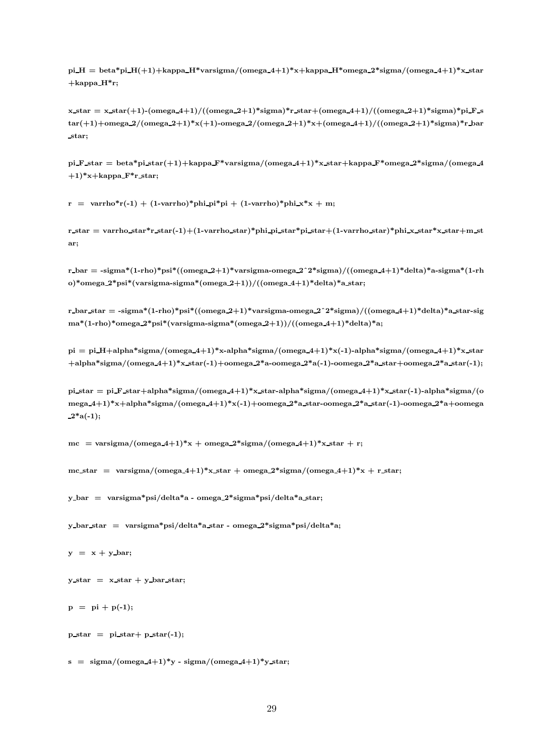$pi-H = beta * pi.H(+1)+kappa-H*varsigma/(omega-4+1)*x+kappa-H*omega-2*sigma/(omega-4+1)*x-kmin$ +kappa H\*r;

 $x_3$  star =  $x_3$  star(+1)-(omega\_4+1)/((omega\_2+1)\*sigma)\*r\_star+(omega\_4+1)/((omega\_2+1)\*sigma)\*pi\_F\_s  $\text{tar}(+1) + \text{omega} 2/(\text{omega} 2+1) * x(+1) - \text{omega} 2/(\text{omega} 2+1) * x + (\text{omega} 4+1)/((\text{omega} 2+1) * \text{sigma} 2+1) * x + (\text{omega} 2+1) * x$ star;

pi F\_star = beta\*pi\_star(+1)+kappa\_F\*varsigma/(omega\_4+1)\*x\_star+kappa\_F\*omega\_2\*sigma/(omega\_4  $+1$ <sup>\*</sup>x+kappa F<sup>\*</sup>r star;

 $r = \varphi(r-1) + (1-\varphi)(\varphi)$  r = varrho<sup>\*</sup>r(-1) + (1-varrho)\*phi x<sup>\*</sup>x + m;

r star = varrho star\*r star(-1)+(1-varrho star)\*phi pi star\*pi star+(1-varrho star)\*phi x star\*x star+m st ar;

r\_bar = -sigma\*(1-rho)\*psi\*((omega\_2+1)\*varsigma-omega\_2^2\*sigma)/((omega\_4+1)\*delta)\*a-sigma\*(1-rh o)\*omega $2$ \*psi\*(varsigma-sigma\*(omega $2+1$ ))/((omega $4+1$ )\*delta)\*a\_star;

r\_bar\_star = -sigma\*(1-rho)\*psi\*((omega\_2+1)\*varsigma-omega\_2^2\*sigma)/((omega\_4+1)\*delta)\*a\_star-sig ma\*(1-rho)\*omega 2\*psi\*(varsigma-sigma\*(omega 2+1))/((omega 4+1)\*delta)\*a;

 $pi = pi.H+alpha*sigma/(omega_4+1)*x-alpha*sigma/(omega_4+1)*x(-1)-alpha*sigma/(omega_4+1)*x_$  $+alpha*signa/(omega+41)*x.star(-1)+oomega.2*a-oomega.2*a(-1)-oomega.2*a.star+oomega.2*a.star(-1);$ 

pi\_star = pi\_F\_star+alpha\*sigma/(omega\_4+1)\*x\_star-alpha\*sigma/(omega\_4+1)\*x\_star(-1)-alpha\*sigma/(o mega 4+1)\*x+alpha\*sigma/(omega 4+1)\*x(-1)+oomega 2\*a star-oomega 2\*a star(-1)-oomega 2\*a+oomega  $-2^*a(-1);$ 

mc = varsigma/(omega\_4+1)\*x + omega\_2\*sigma/(omega\_4+1)\*x\_star + r;

 $mc\_star = varsigma/(omega4+1)*x\_star +omega2*signa/(omega4+1)*x + r\_star;$ 

y bar = varsigma\*psi/delta\*a - omega  $2*$ sigma\*psi/delta\*a star;

y bar star = varsigma\*psi/delta\*a star - omega 2\*sigma\*psi/delta\*a;

 $y = x + y$  bar;

 $y_{\text{star}} = x_{\text{star}} + y_{\text{star}}$ 

```
p = pi + p(-1);
```
 $p_{\text{star}} = pi_{\text{star}} + p_{\text{star}}(-1);$ 

 $s = \text{sigma/(omega-4+1)*y - sigma/(omega-4+1)*y star};$